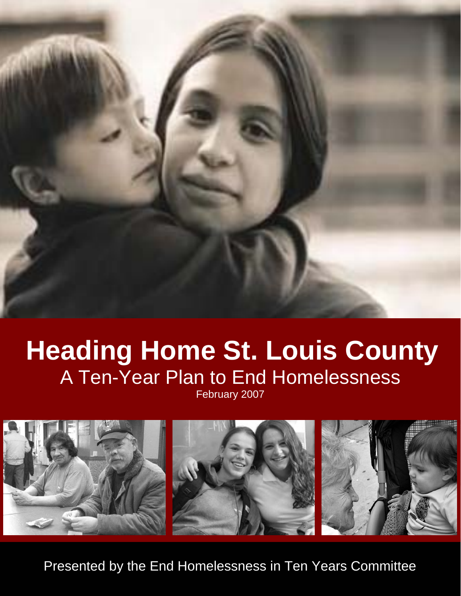

# **Heading Home St. Louis County**  A Ten-Year Plan to End Homelessness

February 2007



Presented by the End Homelessness in Ten Years Committee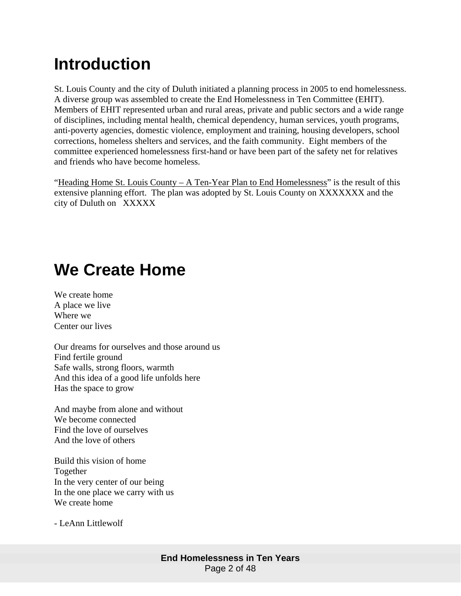## **Introduction**

St. Louis County and the city of Duluth initiated a planning process in 2005 to end homelessness. A diverse group was assembled to create the End Homelessness in Ten Committee (EHIT). Members of EHIT represented urban and rural areas, private and public sectors and a wide range of disciplines, including mental health, chemical dependency, human services, youth programs, anti-poverty agencies, domestic violence, employment and training, housing developers, school corrections, homeless shelters and services, and the faith community. Eight members of the committee experienced homelessness first-hand or have been part of the safety net for relatives and friends who have become homeless.

"Heading Home St. Louis County – A Ten-Year Plan to End Homelessness" is the result of this extensive planning effort. The plan was adopted by St. Louis County on XXXXXXX and the city of Duluth on XXXXX

## **We Create Home**

We create home A place we live Where we Center our lives

Our dreams for ourselves and those around us Find fertile ground Safe walls, strong floors, warmth And this idea of a good life unfolds here Has the space to grow

And maybe from alone and without We become connected Find the love of ourselves And the love of others

Build this vision of home Together In the very center of our being In the one place we carry with us We create home

- LeAnn Littlewolf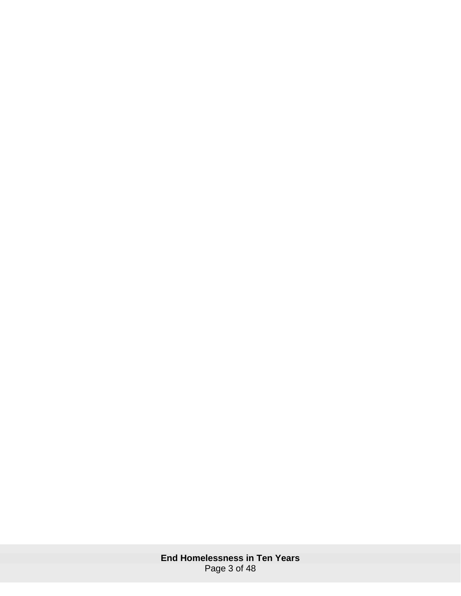**End Homelessness in Ten Years**  Page 3 of 48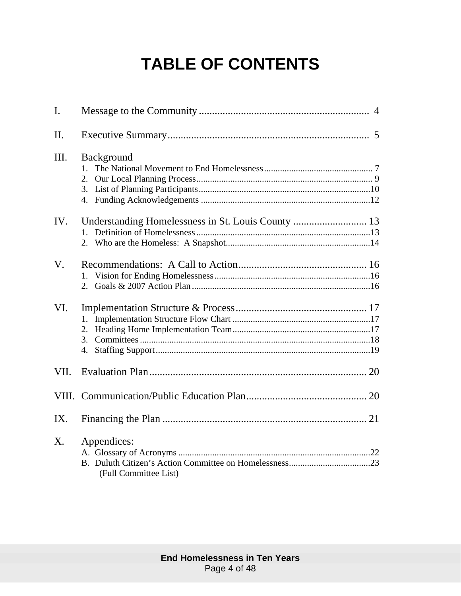# **TABLE OF CONTENTS**

| $\mathbf{I}$ .  |                                                    |
|-----------------|----------------------------------------------------|
| $\mathbf{II}$ . |                                                    |
| Ш.              | <b>Background</b><br>$1_{-}$<br>2.                 |
| IV.             | Understanding Homelessness in St. Louis County  13 |
| V.              |                                                    |
| VI.             | 1.<br>2.<br>3.                                     |
| VII.            |                                                    |
|                 |                                                    |
| IX.             |                                                    |
| X.              | Appendices:<br>(Full Committee List)               |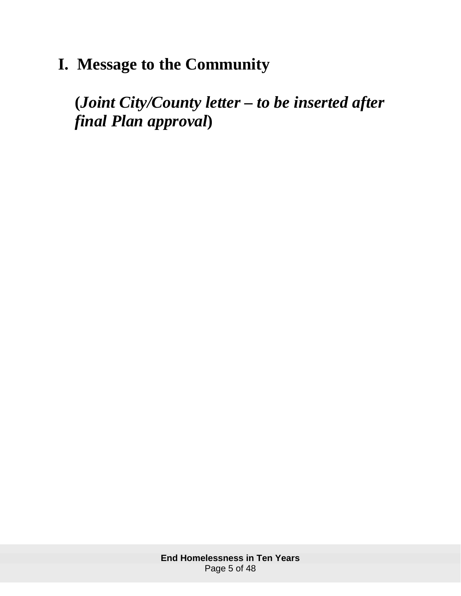## **I. Message to the Community**

 **(***Joint City/County letter – to be inserted after final Plan approval***)**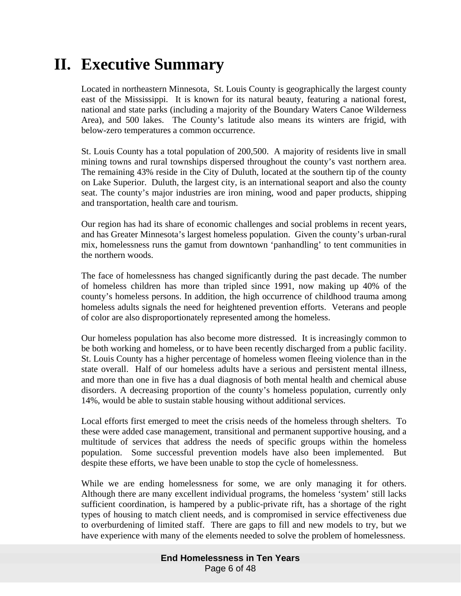## **II. Executive Summary**

Located in northeastern Minnesota, St. Louis County is geographically the largest county east of the Mississippi. It is known for its natural beauty, featuring a national forest, national and state parks (including a majority of the Boundary Waters Canoe Wilderness Area), and 500 lakes. The County's latitude also means its winters are frigid, with below-zero temperatures a common occurrence.

St. Louis County has a total population of 200,500. A majority of residents live in small mining towns and rural townships dispersed throughout the county's vast northern area. The remaining 43% reside in the City of Duluth, located at the southern tip of the county on Lake Superior. Duluth, the largest city, is an international seaport and also the county seat. The county's major industries are iron mining, wood and paper products, shipping and transportation, health care and tourism.

Our region has had its share of economic challenges and social problems in recent years, and has Greater Minnesota's largest homeless population. Given the county's urban-rural mix, homelessness runs the gamut from downtown 'panhandling' to tent communities in the northern woods.

The face of homelessness has changed significantly during the past decade. The number of homeless children has more than tripled since 1991, now making up 40% of the county's homeless persons. In addition, the high occurrence of childhood trauma among homeless adults signals the need for heightened prevention efforts. Veterans and people of color are also disproportionately represented among the homeless.

Our homeless population has also become more distressed. It is increasingly common to be both working and homeless, or to have been recently discharged from a public facility. St. Louis County has a higher percentage of homeless women fleeing violence than in the state overall. Half of our homeless adults have a serious and persistent mental illness, and more than one in five has a dual diagnosis of both mental health and chemical abuse disorders. A decreasing proportion of the county's homeless population, currently only 14%, would be able to sustain stable housing without additional services.

Local efforts first emerged to meet the crisis needs of the homeless through shelters. To these were added case management, transitional and permanent supportive housing, and a multitude of services that address the needs of specific groups within the homeless population. Some successful prevention models have also been implemented. But despite these efforts, we have been unable to stop the cycle of homelessness.

While we are ending homelessness for some, we are only managing it for others. Although there are many excellent individual programs, the homeless 'system' still lacks sufficient coordination, is hampered by a public-private rift, has a shortage of the right types of housing to match client needs, and is compromised in service effectiveness due to overburdening of limited staff. There are gaps to fill and new models to try, but we have experience with many of the elements needed to solve the problem of homelessness.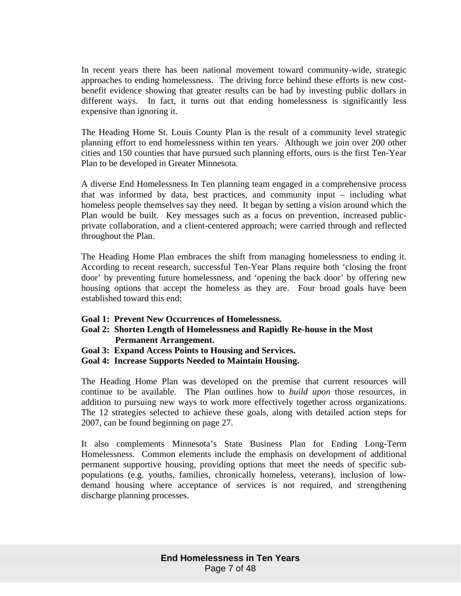In recent years there has been national movement toward community-wide, strategic approaches to ending homelessness. The driving force behind these efforts is new costbenefit evidence showing that greater results can be had by investing public dollars in different ways. In fact, it turns out that ending homelessness is significantly less expensive than ignoring it.

The Heading Home St. Louis County Plan is the result of a community level strategic planning effort to end homelessness within ten years. Although we join over 200 other cities and 150 counties that have pursued such planning efforts, ours is the first Ten-Year Plan to be developed in Greater Minnesota.

A diverse End Homelessness In Ten planning team engaged in a comprehensive process that was informed by data, best practices, and community input – including what homeless people themselves say they need. It began by setting a vision around which the Plan would be built. Key messages such as a focus on prevention, increased publicprivate collaboration, and a client-centered approach; were carried through and reflected throughout the Plan.

The Heading Home Plan embraces the shift from managing homelessness to ending it. According to recent research, successful Ten-Year Plans require both 'closing the front door' by preventing future homelessness, and 'opening the back door' by offering new housing options that accept the homeless as they are. Four broad goals have been established toward this end:

- **Goal 1: Prevent New Occurrences of Homelessness.**
- **Goal 2: Shorten Length of Homelessness and Rapidly Re-house in the Most Permanent Arrangement.**
- **Goal 3: Expand Access Points to Housing and Services.**
- **Goal 4: Increase Supports Needed to Maintain Housing.**

The Heading Home Plan was developed on the premise that current resources will continue to be available. The Plan outlines how to *build upon* those resources, in addition to pursuing new ways to work more effectively together across organizations. The 12 strategies selected to achieve these goals, along with detailed action steps for 2007, can be found beginning on page 27.

It also complements Minnesota's State Business Plan for Ending Long-Term Homelessness. Common elements include the emphasis on development of additional permanent supportive housing, providing options that meet the needs of specific subpopulations (e.g. youths, families, chronically homeless, veterans), inclusion of lowdemand housing where acceptance of services is not required, and strengthening discharge planning processes.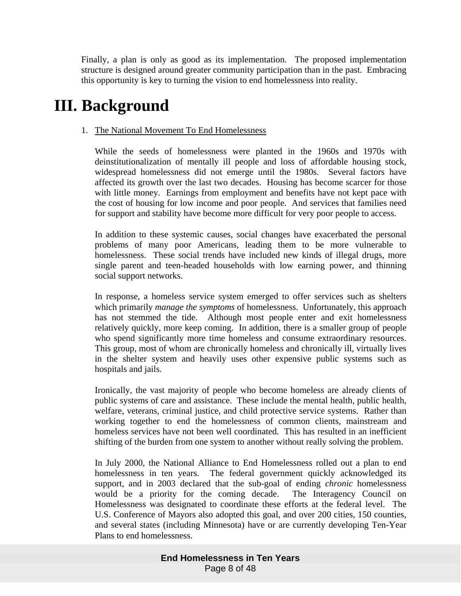Finally, a plan is only as good as its implementation. The proposed implementation structure is designed around greater community participation than in the past. Embracing this opportunity is key to turning the vision to end homelessness into reality.

## **III. Background**

#### 1. The National Movement To End Homelessness

While the seeds of homelessness were planted in the 1960s and 1970s with deinstitutionalization of mentally ill people and loss of affordable housing stock, widespread homelessness did not emerge until the 1980s. Several factors have affected its growth over the last two decades. Housing has become scarcer for those with little money. Earnings from employment and benefits have not kept pace with the cost of housing for low income and poor people. And services that families need for support and stability have become more difficult for very poor people to access.

In addition to these systemic causes, social changes have exacerbated the personal problems of many poor Americans, leading them to be more vulnerable to homelessness. These social trends have included new kinds of illegal drugs, more single parent and teen-headed households with low earning power, and thinning social support networks.

In response, a homeless service system emerged to offer services such as shelters which primarily *manage the symptoms* of homelessness. Unfortunately, this approach has not stemmed the tide. Although most people enter and exit homelessness relatively quickly, more keep coming. In addition, there is a smaller group of people who spend significantly more time homeless and consume extraordinary resources. This group, most of whom are chronically homeless and chronically ill, virtually lives in the shelter system and heavily uses other expensive public systems such as hospitals and jails.

Ironically, the vast majority of people who become homeless are already clients of public systems of care and assistance. These include the mental health, public health, welfare, veterans, criminal justice, and child protective service systems. Rather than working together to end the homelessness of common clients, mainstream and homeless services have not been well coordinated. This has resulted in an inefficient shifting of the burden from one system to another without really solving the problem.

In July 2000, the National Alliance to End Homelessness rolled out a plan to end homelessness in ten years. The federal government quickly acknowledged its support, and in 2003 declared that the sub-goal of ending *chronic* homelessness would be a priority for the coming decade. The Interagency Council on Homelessness was designated to coordinate these efforts at the federal level. The U.S. Conference of Mayors also adopted this goal, and over 200 cities, 150 counties, and several states (including Minnesota) have or are currently developing Ten-Year Plans to end homelessness.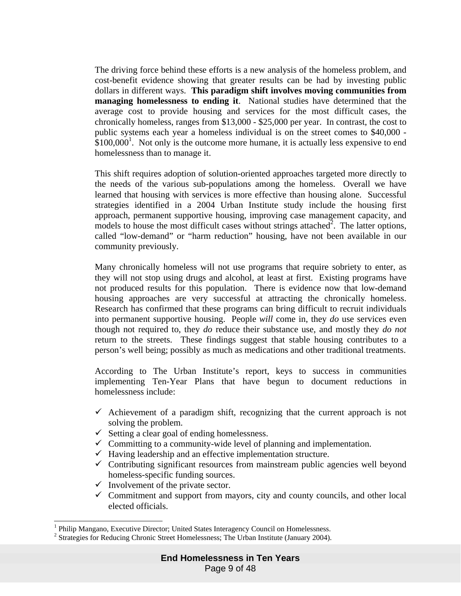The driving force behind these efforts is a new analysis of the homeless problem, and cost-benefit evidence showing that greater results can be had by investing public dollars in different ways. **This paradigm shift involves moving communities from managing homelessness to ending it**. National studies have determined that the average cost to provide housing and services for the most difficult cases, the chronically homeless, ranges from \$13,000 - \$25,000 per year. In contrast, the cost to public systems each year a homeless individual is on the street comes to \$40,000 -  $$100,000<sup>1</sup>$ . Not only is the outcome more humane, it is actually less expensive to end homelessness than to manage it.

This shift requires adoption of solution-oriented approaches targeted more directly to the needs of the various sub-populations among the homeless. Overall we have learned that housing with services is more effective than housing alone. Successful strategies identified in a 2004 Urban Institute study include the housing first approach, permanent supportive housing, improving case management capacity, and models to house the most difficult cases without strings attached<sup>2</sup>. The latter options, called "low-demand" or "harm reduction" housing, have not been available in our community previously.

Many chronically homeless will not use programs that require sobriety to enter, as they will not stop using drugs and alcohol, at least at first. Existing programs have not produced results for this population. There is evidence now that low-demand housing approaches are very successful at attracting the chronically homeless. Research has confirmed that these programs can bring difficult to recruit individuals into permanent supportive housing. People *will* come in, they *do* use services even though not required to, they *do* reduce their substance use, and mostly they *do not* return to the streets. These findings suggest that stable housing contributes to a person's well being; possibly as much as medications and other traditional treatments.

According to The Urban Institute's report, keys to success in communities implementing Ten-Year Plans that have begun to document reductions in homelessness include:

- $\checkmark$  Achievement of a paradigm shift, recognizing that the current approach is not solving the problem.
- $\checkmark$  Setting a clear goal of ending homelessness.
- $\checkmark$  Committing to a community-wide level of planning and implementation.
- $\checkmark$  Having leadership and an effective implementation structure.
- $\checkmark$  Contributing significant resources from mainstream public agencies well beyond homeless-specific funding sources.
- $\checkmark$  Involvement of the private sector.

 $\overline{a}$ 

 $\checkmark$  Commitment and support from mayors, city and county councils, and other local elected officials.

<sup>&</sup>lt;sup>1</sup> Philip Mangano, Executive Director; United States Interagency Council on Homelessness.<br><sup>2</sup> Strategies for Boducing Chronic Street Homelessness: The Urban Institute (January 2004).

<sup>&</sup>lt;sup>2</sup> Strategies for Reducing Chronic Street Homelessness; The Urban Institute (January 2004).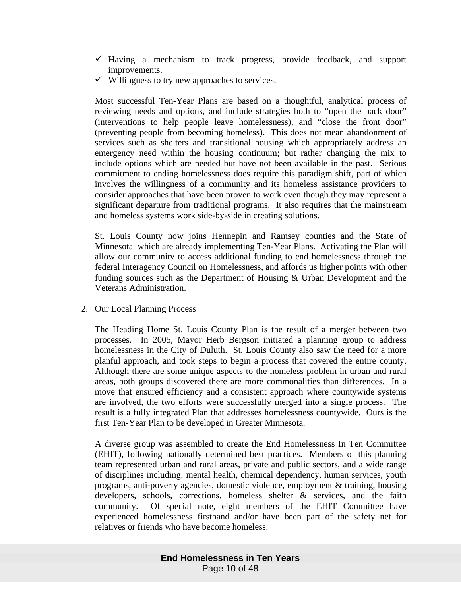- $\checkmark$  Having a mechanism to track progress, provide feedback, and support improvements.
- $\checkmark$  Willingness to try new approaches to services.

Most successful Ten-Year Plans are based on a thoughtful, analytical process of reviewing needs and options, and include strategies both to "open the back door" (interventions to help people leave homelessness), and "close the front door" (preventing people from becoming homeless). This does not mean abandonment of services such as shelters and transitional housing which appropriately address an emergency need within the housing continuum; but rather changing the mix to include options which are needed but have not been available in the past. Serious commitment to ending homelessness does require this paradigm shift, part of which involves the willingness of a community and its homeless assistance providers to consider approaches that have been proven to work even though they may represent a significant departure from traditional programs. It also requires that the mainstream and homeless systems work side-by-side in creating solutions.

St. Louis County now joins Hennepin and Ramsey counties and the State of Minnesota which are already implementing Ten-Year Plans. Activating the Plan will allow our community to access additional funding to end homelessness through the federal Interagency Council on Homelessness, and affords us higher points with other funding sources such as the Department of Housing & Urban Development and the Veterans Administration.

#### 2. Our Local Planning Process

The Heading Home St. Louis County Plan is the result of a merger between two processes. In 2005, Mayor Herb Bergson initiated a planning group to address homelessness in the City of Duluth. St. Louis County also saw the need for a more planful approach, and took steps to begin a process that covered the entire county. Although there are some unique aspects to the homeless problem in urban and rural areas, both groups discovered there are more commonalities than differences. In a move that ensured efficiency and a consistent approach where countywide systems are involved, the two efforts were successfully merged into a single process. The result is a fully integrated Plan that addresses homelessness countywide. Ours is the first Ten-Year Plan to be developed in Greater Minnesota.

A diverse group was assembled to create the End Homelessness In Ten Committee (EHIT), following nationally determined best practices. Members of this planning team represented urban and rural areas, private and public sectors, and a wide range of disciplines including: mental health, chemical dependency, human services, youth programs, anti-poverty agencies, domestic violence, employment & training, housing developers, schools, corrections, homeless shelter & services, and the faith community. Of special note, eight members of the EHIT Committee have experienced homelessness firsthand and/or have been part of the safety net for relatives or friends who have become homeless.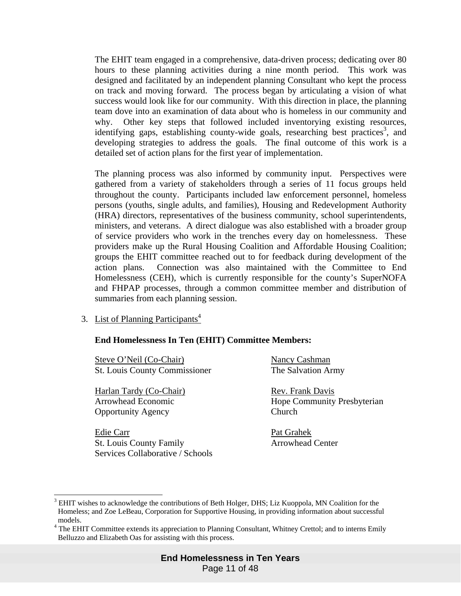The EHIT team engaged in a comprehensive, data-driven process; dedicating over 80 hours to these planning activities during a nine month period. This work was designed and facilitated by an independent planning Consultant who kept the process on track and moving forward. The process began by articulating a vision of what success would look like for our community. With this direction in place, the planning team dove into an examination of data about who is homeless in our community and why. Other key steps that followed included inventorying existing resources, identifying gaps, establishing county-wide goals, researching best practices<sup>3</sup>, and developing strategies to address the goals. The final outcome of this work is a detailed set of action plans for the first year of implementation.

The planning process was also informed by community input. Perspectives were gathered from a variety of stakeholders through a series of 11 focus groups held throughout the county. Participants included law enforcement personnel, homeless persons (youths, single adults, and families), Housing and Redevelopment Authority (HRA) directors, representatives of the business community, school superintendents, ministers, and veterans. A direct dialogue was also established with a broader group of service providers who work in the trenches every day on homelessness. These providers make up the Rural Housing Coalition and Affordable Housing Coalition; groups the EHIT committee reached out to for feedback during development of the action plans. Connection was also maintained with the Committee to End Homelessness (CEH), which is currently responsible for the county's SuperNOFA and FHPAP processes, through a common committee member and distribution of summaries from each planning session.

#### 3. List of Planning Participants<sup>4</sup>

#### **End Homelessness In Ten (EHIT) Committee Members:**

Steve O'Neil (Co-Chair) St. Louis County Commissioner

Harlan Tardy (Co-Chair) Arrowhead Economic Opportunity Agency

 $\overline{a}$ 

Edie Carr St. Louis County Family Services Collaborative / Schools Nancy Cashman The Salvation Army

Rev. Frank Davis Hope Community Presbyterian Church

Pat Grahek Arrowhead Center

<sup>&</sup>lt;sup>3</sup> EHIT wishes to acknowledge the contributions of Beth Holger, DHS; Liz Kuoppola, MN Coalition for the Homeless; and Zoe LeBeau, Corporation for Supportive Housing, in providing information about successful models.

<sup>&</sup>lt;sup>4</sup> The EHIT Committee extends its appreciation to Planning Consultant, Whitney Crettol; and to interns Emily Belluzzo and Elizabeth Oas for assisting with this process.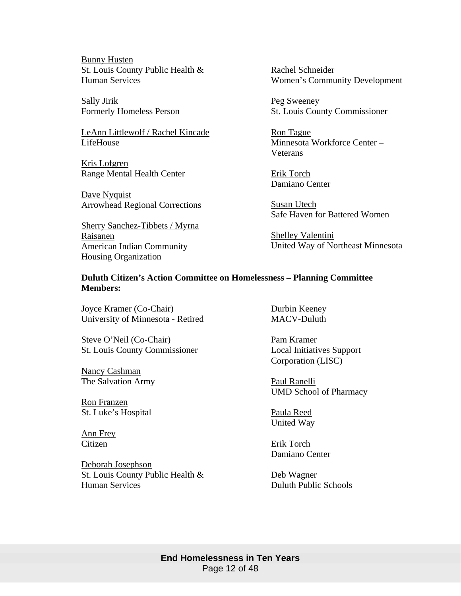Bunny Husten St. Louis County Public Health & Human Services

Sally Jirik Formerly Homeless Person

LeAnn Littlewolf / Rachel Kincade LifeHouse

Kris Lofgren Range Mental Health Center

Dave Nyquist Arrowhead Regional Corrections

Sherry Sanchez-Tibbets / Myrna Raisanen American Indian Community Housing Organization

Rachel Schneider Women's Community Development

Peg Sweeney St. Louis County Commissioner

Ron Tague Minnesota Workforce Center – **Veterans** 

Erik Torch Damiano Center

Susan Utech Safe Haven for Battered Women

Shelley Valentini United Way of Northeast Minnesota

#### **Duluth Citizen's Action Committee on Homelessness – Planning Committee Members:**

Joyce Kramer (Co-Chair) University of Minnesota - Retired

Steve O'Neil (Co-Chair) St. Louis County Commissioner

Nancy Cashman The Salvation Army

Ron Franzen St. Luke's Hospital

Ann Frey Citizen

Deborah Josephson St. Louis County Public Health & Human Services

Durbin Keeney MACV-Duluth

Pam Kramer Local Initiatives Support Corporation (LISC)

Paul Ranelli UMD School of Pharmacy

Paula Reed United Way

Erik Torch Damiano Center

Deb Wagner Duluth Public Schools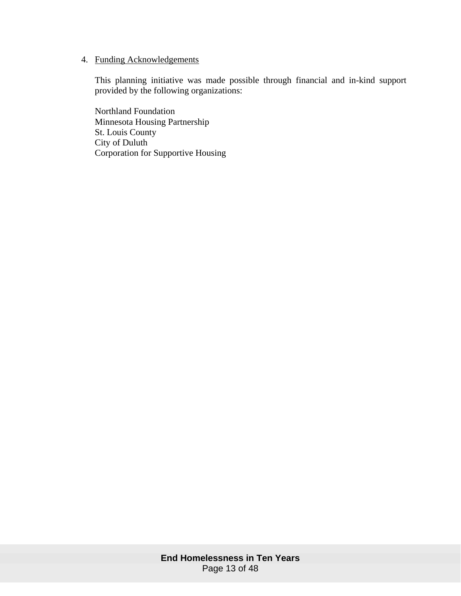### 4. Funding Acknowledgements

This planning initiative was made possible through financial and in-kind support provided by the following organizations:

Northland Foundation Minnesota Housing Partnership St. Louis County City of Duluth Corporation for Supportive Housing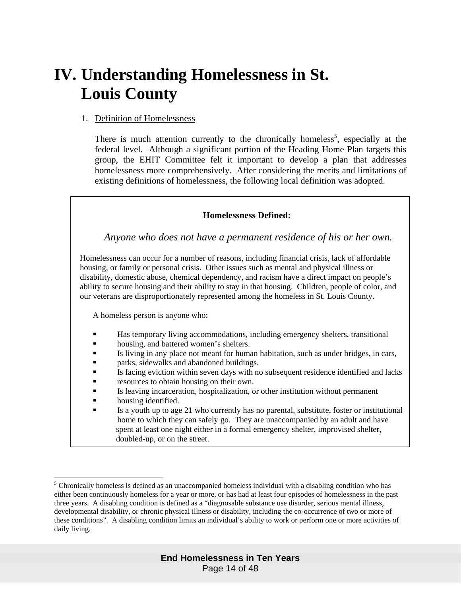## **IV. Understanding Homelessness in St. Louis County**

#### 1. Definition of Homelessness

There is much attention currently to the chronically homeless<sup>5</sup>, especially at the federal level. Although a significant portion of the Heading Home Plan targets this group, the EHIT Committee felt it important to develop a plan that addresses homelessness more comprehensively. After considering the merits and limitations of existing definitions of homelessness, the following local definition was adopted.

| <b>Homelessness Defined:</b>                                                                                                                                                                                                                                                                                                                                                                                                                                                                   |  |  |  |  |
|------------------------------------------------------------------------------------------------------------------------------------------------------------------------------------------------------------------------------------------------------------------------------------------------------------------------------------------------------------------------------------------------------------------------------------------------------------------------------------------------|--|--|--|--|
| Anyone who does not have a permanent residence of his or her own.                                                                                                                                                                                                                                                                                                                                                                                                                              |  |  |  |  |
| Homelessness can occur for a number of reasons, including financial crisis, lack of affordable<br>housing, or family or personal crisis. Other issues such as mental and physical illness or<br>disability, domestic abuse, chemical dependency, and racism have a direct impact on people's<br>ability to secure housing and their ability to stay in that housing. Children, people of color, and<br>our veterans are disproportionately represented among the homeless in St. Louis County. |  |  |  |  |
| A homeless person is anyone who:                                                                                                                                                                                                                                                                                                                                                                                                                                                               |  |  |  |  |
| Has temporary living accommodations, including emergency shelters, transitional<br>٠<br>housing, and battered women's shelters.<br>٠                                                                                                                                                                                                                                                                                                                                                           |  |  |  |  |
| Is living in any place not meant for human habitation, such as under bridges, in cars,<br>٠<br>parks, sidewalks and abandoned buildings.<br>٠                                                                                                                                                                                                                                                                                                                                                  |  |  |  |  |
| Is facing eviction within seven days with no subsequent residence identified and lacks<br>п<br>resources to obtain housing on their own.<br>٠                                                                                                                                                                                                                                                                                                                                                  |  |  |  |  |
| Is leaving incarceration, hospitalization, or other institution without permanent<br>housing identified.<br>٠                                                                                                                                                                                                                                                                                                                                                                                  |  |  |  |  |
| Is a youth up to age 21 who currently has no parental, substitute, foster or institutional<br>home to which they can safely go. They are unaccompanied by an adult and have                                                                                                                                                                                                                                                                                                                    |  |  |  |  |

spent at least one night either in a formal emergency shelter, improvised shelter,

doubled-up, or on the street.

 $\overline{a}$ <sup>5</sup> Chronically homeless is defined as an unaccompanied homeless individual with a disabling condition who has either been continuously homeless for a year or more, or has had at least four episodes of homelessness in the past three years. A disabling condition is defined as a "diagnosable substance use disorder, serious mental illness, developmental disability, or chronic physical illness or disability, including the co-occurrence of two or more of these conditions". A disabling condition limits an individual's ability to work or perform one or more activities of daily living.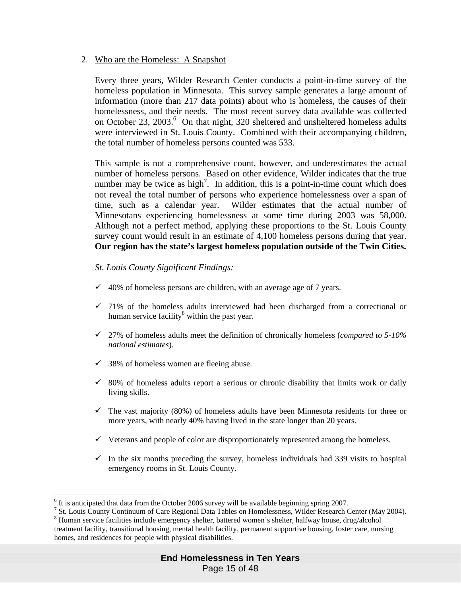#### 2. Who are the Homeless: A Snapshot

Every three years, Wilder Research Center conducts a point-in-time survey of the homeless population in Minnesota. This survey sample generates a large amount of information (more than 217 data points) about who is homeless, the causes of their homelessness, and their needs. The most recent survey data available was collected on October 23, 2003.<sup>6</sup> On that night, 320 sheltered and unsheltered homeless adults were interviewed in St. Louis County. Combined with their accompanying children, the total number of homeless persons counted was 533.

This sample is not a comprehensive count, however, and underestimates the actual number of homeless persons. Based on other evidence, Wilder indicates that the true number may be twice as high<sup>7</sup>. In addition, this is a point-in-time count which does not reveal the total number of persons who experience homelessness over a span of time, such as a calendar year. Wilder estimates that the actual number of Minnesotans experiencing homelessness at some time during 2003 was 58,000. Although not a perfect method, applying these proportions to the St. Louis County survey count would result in an estimate of 4,100 homeless persons during that year. **Our region has the state's largest homeless population outside of the Twin Cities.** 

#### *St. Louis County Significant Findings:*

- $\checkmark$  40% of homeless persons are children, with an average age of 7 years.
- $\checkmark$  71% of the homeless adults interviewed had been discharged from a correctional or human service facility<sup>8</sup> within the past year.
- 9 27% of homeless adults meet the definition of chronically homeless (*compared to 5-10% national estimates*).
- $\checkmark$  38% of homeless women are fleeing abuse.

 $\overline{a}$ 

- $\checkmark$  80% of homeless adults report a serious or chronic disability that limits work or daily living skills.
- $\checkmark$  The vast majority (80%) of homeless adults have been Minnesota residents for three or more years, with nearly 40% having lived in the state longer than 20 years.
- $\checkmark$  Veterans and people of color are disproportionately represented among the homeless.
- $\checkmark$  In the six months preceding the survey, homeless individuals had 339 visits to hospital emergency rooms in St. Louis County.

 $6$  It is anticipated that data from the October 2006 survey will be available beginning spring 2007.

<sup>&</sup>lt;sup>7</sup> St. Louis County Continuum of Care Regional Data Tables on Homelessness, Wilder Research Center (May 2004).

<sup>&</sup>lt;sup>8</sup> Human service facilities include emergency shelter, battered women's shelter, halfway house, drug/alcohol treatment facility, transitional housing, mental health facility, permanent supportive housing, foster care, nursing homes, and residences for people with physical disabilities.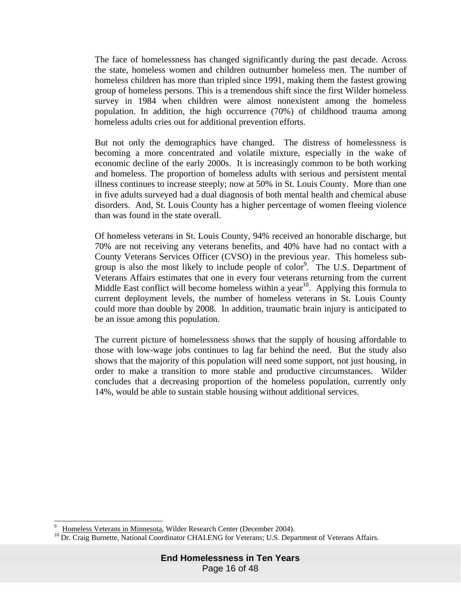The face of homelessness has changed significantly during the past decade. Across the state, homeless women and children outnumber homeless men. The number of homeless children has more than tripled since 1991, making them the fastest growing group of homeless persons. This is a tremendous shift since the first Wilder homeless survey in 1984 when children were almost nonexistent among the homeless population. In addition, the high occurrence (70%) of childhood trauma among homeless adults cries out for additional prevention efforts.

But not only the demographics have changed. The distress of homelessness is becoming a more concentrated and volatile mixture, especially in the wake of economic decline of the early 2000s. It is increasingly common to be both working and homeless. The proportion of homeless adults with serious and persistent mental illness continues to increase steeply; now at 50% in St. Louis County. More than one in five adults surveyed had a dual diagnosis of both mental health and chemical abuse disorders. And, St. Louis County has a higher percentage of women fleeing violence than was found in the state overall.

Of homeless veterans in St. Louis County, 94% received an honorable discharge, but 70% are not receiving any veterans benefits, and 40% have had no contact with a County Veterans Services Officer (CVSO) in the previous year. This homeless subgroup is also the most likely to include people of color<sup>9</sup>. The U.S. Department of Veterans Affairs estimates that one in every four veterans returning from the current Middle East conflict will become homeless within a year<sup>10</sup>. Applying this formula to current deployment levels, the number of homeless veterans in St. Louis County could more than double by 2008. In addition, traumatic brain injury is anticipated to be an issue among this population.

The current picture of homelessness shows that the supply of housing affordable to those with low-wage jobs continues to lag far behind the need. But the study also shows that the majority of this population will need some support, not just housing, in order to make a transition to more stable and productive circumstances. Wilder concludes that a decreasing proportion of the homeless population, currently only 14%, would be able to sustain stable housing without additional services.

 $\overline{a}$ 

<sup>9</sup>

 $^{9}$  Homeless Veterans in Minnesota, Wilder Research Center (December 2004).<br><sup>10</sup> Dr. Craig Burnette, National Coordinator CHALENG for Veterans; U.S. Department of Veterans Affairs.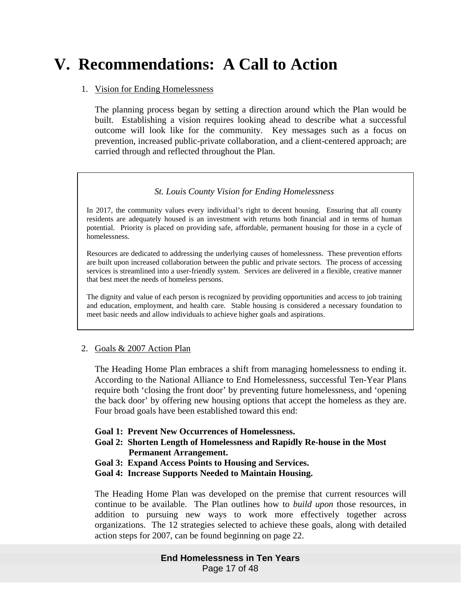## **V. Recommendations: A Call to Action**

#### 1. Vision for Ending Homelessness

The planning process began by setting a direction around which the Plan would be built. Establishing a vision requires looking ahead to describe what a successful outcome will look like for the community. Key messages such as a focus on prevention, increased public-private collaboration, and a client-centered approach; are carried through and reflected throughout the Plan.

#### *St. Louis County Vision for Ending Homelessness*

In 2017, the community values every individual's right to decent housing. Ensuring that all county residents are adequately housed is an investment with returns both financial and in terms of human potential. Priority is placed on providing safe, affordable, permanent housing for those in a cycle of homelessness.

Resources are dedicated to addressing the underlying causes of homelessness. These prevention efforts are built upon increased collaboration between the public and private sectors. The process of accessing services is streamlined into a user-friendly system. Services are delivered in a flexible, creative manner that best meet the needs of homeless persons.

The dignity and value of each person is recognized by providing opportunities and access to job training and education, employment, and health care. Stable housing is considered a necessary foundation to meet basic needs and allow individuals to achieve higher goals and aspirations.

#### 2. Goals & 2007 Action Plan

The Heading Home Plan embraces a shift from managing homelessness to ending it. According to the National Alliance to End Homelessness, successful Ten-Year Plans require both 'closing the front door' by preventing future homelessness, and 'opening the back door' by offering new housing options that accept the homeless as they are. Four broad goals have been established toward this end:

#### **Goal 1: Prevent New Occurrences of Homelessness.**

- **Goal 2: Shorten Length of Homelessness and Rapidly Re-house in the Most Permanent Arrangement.**
- **Goal 3: Expand Access Points to Housing and Services.**
- **Goal 4: Increase Supports Needed to Maintain Housing.**

The Heading Home Plan was developed on the premise that current resources will continue to be available. The Plan outlines how to *build upon* those resources, in addition to pursuing new ways to work more effectively together across organizations. The 12 strategies selected to achieve these goals, along with detailed action steps for 2007, can be found beginning on page 22.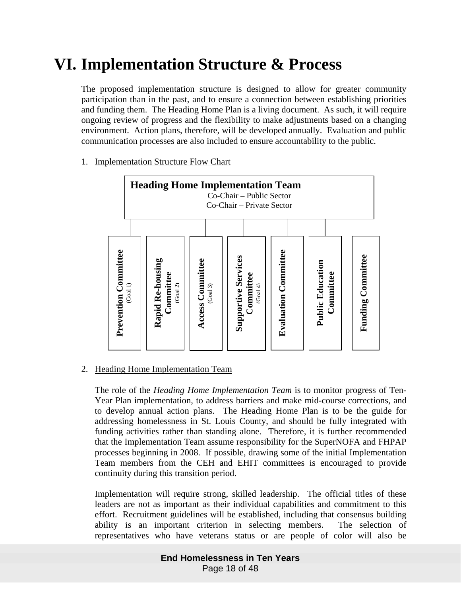## **VI. Implementation Structure & Process**

The proposed implementation structure is designed to allow for greater community participation than in the past, and to ensure a connection between establishing priorities and funding them. The Heading Home Plan is a living document. As such, it will require ongoing review of progress and the flexibility to make adjustments based on a changing environment. Action plans, therefore, will be developed annually. Evaluation and public communication processes are also included to ensure accountability to the public.



1. Implementation Structure Flow Chart

#### 2. Heading Home Implementation Team

The role of the *Heading Home Implementation Team* is to monitor progress of Ten-Year Plan implementation, to address barriers and make mid-course corrections, and to develop annual action plans. The Heading Home Plan is to be the guide for addressing homelessness in St. Louis County, and should be fully integrated with funding activities rather than standing alone. Therefore, it is further recommended that the Implementation Team assume responsibility for the SuperNOFA and FHPAP processes beginning in 2008. If possible, drawing some of the initial Implementation Team members from the CEH and EHIT committees is encouraged to provide continuity during this transition period.

Implementation will require strong, skilled leadership. The official titles of these leaders are not as important as their individual capabilities and commitment to this effort. Recruitment guidelines will be established, including that consensus building ability is an important criterion in selecting members. The selection of representatives who have veterans status or are people of color will also be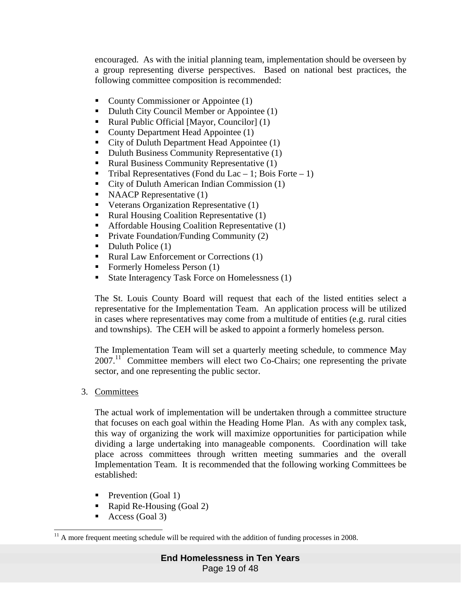encouraged. As with the initial planning team, implementation should be overseen by a group representing diverse perspectives. Based on national best practices, the following committee composition is recommended:

- County Commissioner or Appointee (1)
- Duluth City Council Member or Appointee (1)
- Rural Public Official [Mayor, Councilor] (1)
- County Department Head Appointee (1)
- City of Duluth Department Head Appointee (1)
- Duluth Business Community Representative (1)
- Rural Business Community Representative (1)
- $\blacksquare$  Tribal Representatives (Fond du Lac 1; Bois Forte 1)
- City of Duluth American Indian Commission (1)
- $\blacksquare$  NAACP Representative (1)
- Veterans Organization Representative (1)
- Rural Housing Coalition Representative  $(1)$
- **Affordable Housing Coalition Representative (1)**
- **Private Foundation/Funding Community (2)**
- $\blacksquare$  Duluth Police (1)
- Rural Law Enforcement or Corrections (1)
- Formerly Homeless Person (1)
- State Interagency Task Force on Homelessness (1)

The St. Louis County Board will request that each of the listed entities select a representative for the Implementation Team. An application process will be utilized in cases where representatives may come from a multitude of entities (e.g. rural cities and townships). The CEH will be asked to appoint a formerly homeless person.

The Implementation Team will set a quarterly meeting schedule, to commence May  $2007$ <sup>11</sup> Committee members will elect two Co-Chairs; one representing the private sector, and one representing the public sector.

3. Committees

The actual work of implementation will be undertaken through a committee structure that focuses on each goal within the Heading Home Plan. As with any complex task, this way of organizing the work will maximize opportunities for participation while dividing a large undertaking into manageable components. Coordination will take place across committees through written meeting summaries and the overall Implementation Team. It is recommended that the following working Committees be established:

- Prevention (Goal 1)
- Rapid Re-Housing (Goal 2)
- Access (Goal 3)

 $\overline{a}$  $11$  A more frequent meeting schedule will be required with the addition of funding processes in 2008.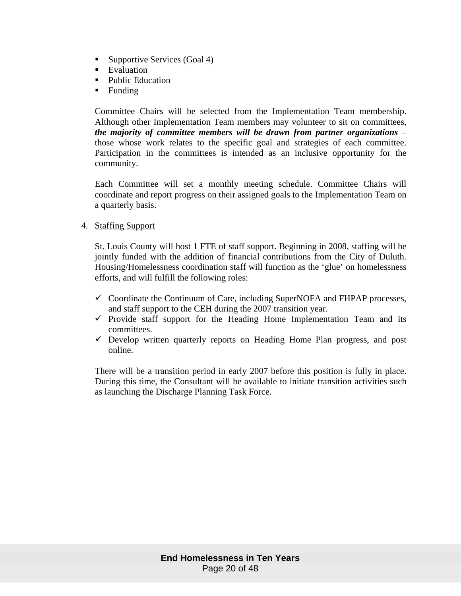- Supportive Services (Goal 4)
- **Evaluation**
- Public Education
- $\blacksquare$  Funding

Committee Chairs will be selected from the Implementation Team membership. Although other Implementation Team members may volunteer to sit on committees, *the majority of committee members will be drawn from partner organizations* – those whose work relates to the specific goal and strategies of each committee. Participation in the committees is intended as an inclusive opportunity for the community.

Each Committee will set a monthly meeting schedule. Committee Chairs will coordinate and report progress on their assigned goals to the Implementation Team on a quarterly basis.

4. Staffing Support

St. Louis County will host 1 FTE of staff support. Beginning in 2008, staffing will be jointly funded with the addition of financial contributions from the City of Duluth. Housing/Homelessness coordination staff will function as the 'glue' on homelessness efforts, and will fulfill the following roles:

- $\checkmark$  Coordinate the Continuum of Care, including SuperNOFA and FHPAP processes, and staff support to the CEH during the 2007 transition year.
- $\checkmark$  Provide staff support for the Heading Home Implementation Team and its committees.
- $\checkmark$  Develop written quarterly reports on Heading Home Plan progress, and post online.

There will be a transition period in early 2007 before this position is fully in place. During this time, the Consultant will be available to initiate transition activities such as launching the Discharge Planning Task Force.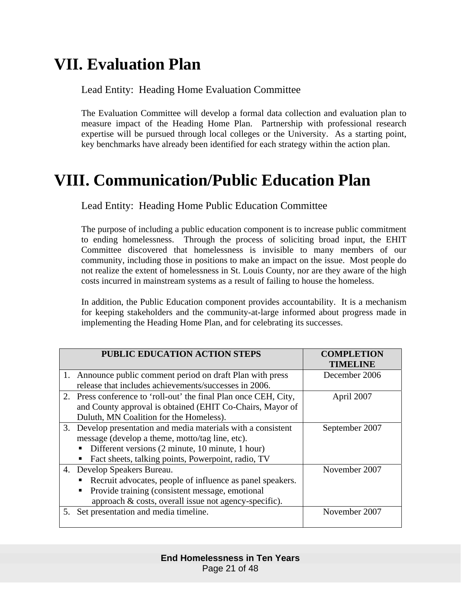## **VII. Evaluation Plan**

Lead Entity: Heading Home Evaluation Committee

The Evaluation Committee will develop a formal data collection and evaluation plan to measure impact of the Heading Home Plan. Partnership with professional research expertise will be pursued through local colleges or the University. As a starting point, key benchmarks have already been identified for each strategy within the action plan.

## **VIII. Communication/Public Education Plan**

Lead Entity: Heading Home Public Education Committee

The purpose of including a public education component is to increase public commitment to ending homelessness. Through the process of soliciting broad input, the EHIT Committee discovered that homelessness is invisible to many members of our community, including those in positions to make an impact on the issue. Most people do not realize the extent of homelessness in St. Louis County, nor are they aware of the high costs incurred in mainstream systems as a result of failing to house the homeless.

In addition, the Public Education component provides accountability. It is a mechanism for keeping stakeholders and the community-at-large informed about progress made in implementing the Heading Home Plan, and for celebrating its successes.

| <b>PUBLIC EDUCATION ACTION STEPS</b>                                                                                                                                                                                       | <b>COMPLETION</b><br><b>TIMELINE</b> |
|----------------------------------------------------------------------------------------------------------------------------------------------------------------------------------------------------------------------------|--------------------------------------|
| 1. Announce public comment period on draft Plan with press<br>release that includes achievements/successes in 2006.                                                                                                        | December 2006                        |
| 2. Press conference to 'roll-out' the final Plan once CEH, City,<br>and County approval is obtained (EHIT Co-Chairs, Mayor of<br>Duluth, MN Coalition for the Homeless).                                                   | April 2007                           |
| 3. Develop presentation and media materials with a consistent<br>message (develop a theme, motto/tag line, etc).<br>Different versions (2 minute, 10 minute, 1 hour)<br>Fact sheets, talking points, Powerpoint, radio, TV | September 2007                       |
| 4. Develop Speakers Bureau.<br>Recruit advocates, people of influence as panel speakers.<br>Provide training (consistent message, emotional<br>approach & costs, overall issue not agency-specific).                       | November 2007                        |
| Set presentation and media timeline.<br>5.                                                                                                                                                                                 | November 2007                        |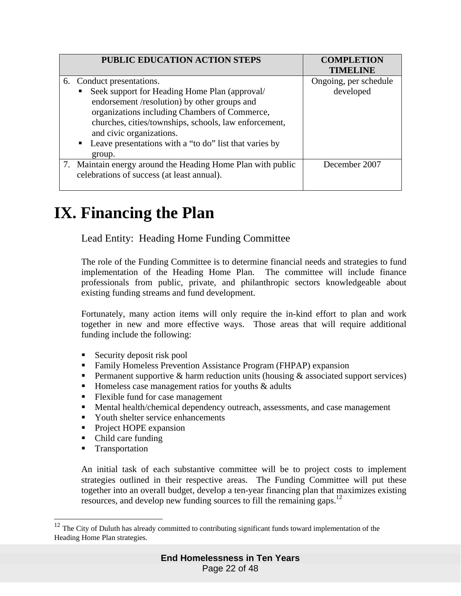| <b>PUBLIC EDUCATION ACTION STEPS</b>                                                                                                                                                                                                                                                                                                   | <b>COMPLETION</b><br><b>TIMELINE</b> |
|----------------------------------------------------------------------------------------------------------------------------------------------------------------------------------------------------------------------------------------------------------------------------------------------------------------------------------------|--------------------------------------|
| 6. Conduct presentations.<br>Seek support for Heading Home Plan (approval/<br>endorsement /resolution) by other groups and<br>organizations including Chambers of Commerce,<br>churches, cities/townships, schools, law enforcement,<br>and civic organizations.<br>• Leave presentations with a "to do" list that varies by<br>group. | Ongoing, per schedule<br>developed   |
| Maintain energy around the Heading Home Plan with public<br>celebrations of success (at least annual).                                                                                                                                                                                                                                 | December 2007                        |

## **IX. Financing the Plan**

Lead Entity: Heading Home Funding Committee

The role of the Funding Committee is to determine financial needs and strategies to fund implementation of the Heading Home Plan. The committee will include finance professionals from public, private, and philanthropic sectors knowledgeable about existing funding streams and fund development.

Fortunately, many action items will only require the in-kind effort to plan and work together in new and more effective ways. Those areas that will require additional funding include the following:

- Security deposit risk pool
- Family Homeless Prevention Assistance Program (FHPAP) expansion
- Permanent supportive  $\&$  harm reduction units (housing  $\&$  associated support services)
- $\blacksquare$  Homeless case management ratios for youths  $\&$  adults
- **Flexible fund for case management**
- **Mental health/chemical dependency outreach, assessments, and case management**
- Youth shelter service enhancements
- Project HOPE expansion
- Child care funding
- **Transportation**

 $\overline{a}$ 

An initial task of each substantive committee will be to project costs to implement strategies outlined in their respective areas. The Funding Committee will put these together into an overall budget, develop a ten-year financing plan that maximizes existing resources, and develop new funding sources to fill the remaining gaps.<sup>12</sup>

 $12$  The City of Duluth has already committed to contributing significant funds toward implementation of the Heading Home Plan strategies.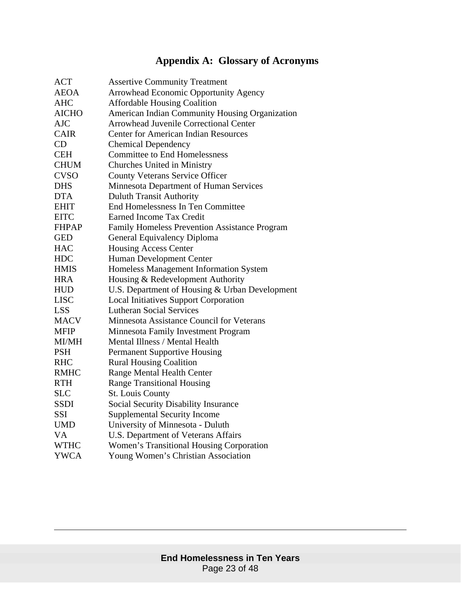## **Appendix A: Glossary of Acronyms**

| <b>ACT</b>   | <b>Assertive Community Treatment</b>           |
|--------------|------------------------------------------------|
| <b>AEOA</b>  | <b>Arrowhead Economic Opportunity Agency</b>   |
| <b>AHC</b>   | <b>Affordable Housing Coalition</b>            |
| <b>AICHO</b> | American Indian Community Housing Organization |
| <b>AJC</b>   | <b>Arrowhead Juvenile Correctional Center</b>  |
| <b>CAIR</b>  | <b>Center for American Indian Resources</b>    |
| CD           | <b>Chemical Dependency</b>                     |
| <b>CEH</b>   | <b>Committee to End Homelessness</b>           |
| <b>CHUM</b>  | Churches United in Ministry                    |
| <b>CVSO</b>  | <b>County Veterans Service Officer</b>         |
| <b>DHS</b>   | Minnesota Department of Human Services         |
| <b>DTA</b>   | <b>Duluth Transit Authority</b>                |
| <b>EHIT</b>  | End Homelessness In Ten Committee              |
| <b>EITC</b>  | <b>Earned Income Tax Credit</b>                |
| <b>FHPAP</b> | Family Homeless Prevention Assistance Program  |
| <b>GED</b>   | <b>General Equivalency Diploma</b>             |
| <b>HAC</b>   | <b>Housing Access Center</b>                   |
| <b>HDC</b>   | Human Development Center                       |
| <b>HMIS</b>  | Homeless Management Information System         |
| <b>HRA</b>   | Housing & Redevelopment Authority              |
| <b>HUD</b>   | U.S. Department of Housing & Urban Development |
| <b>LISC</b>  | <b>Local Initiatives Support Corporation</b>   |
| <b>LSS</b>   | <b>Lutheran Social Services</b>                |
| <b>MACV</b>  | Minnesota Assistance Council for Veterans      |
| <b>MFIP</b>  | Minnesota Family Investment Program            |
| MI/MH        | Mental Illness / Mental Health                 |
| <b>PSH</b>   | <b>Permanent Supportive Housing</b>            |
| <b>RHC</b>   | <b>Rural Housing Coalition</b>                 |
| <b>RMHC</b>  | Range Mental Health Center                     |
| <b>RTH</b>   | <b>Range Transitional Housing</b>              |
| <b>SLC</b>   | <b>St. Louis County</b>                        |
| <b>SSDI</b>  | <b>Social Security Disability Insurance</b>    |
| <b>SSI</b>   | <b>Supplemental Security Income</b>            |
| <b>UMD</b>   | University of Minnesota - Duluth               |
| <b>VA</b>    | U.S. Department of Veterans Affairs            |
| <b>WTHC</b>  | Women's Transitional Housing Corporation       |
| <b>YWCA</b>  | Young Women's Christian Association            |

 $\overline{a}$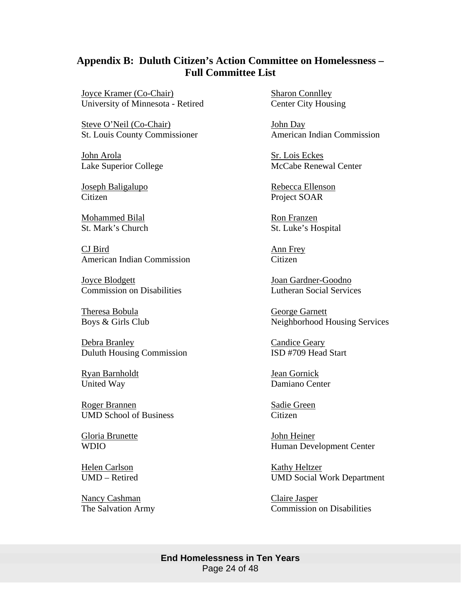### **Appendix B: Duluth Citizen's Action Committee on Homelessness – Full Committee List**

Joyce Kramer (Co-Chair) University of Minnesota - Retired

Steve O'Neil (Co-Chair) St. Louis County Commissioner

John Arola Lake Superior College

Joseph Baligalupo Citizen

Mohammed Bilal St. Mark's Church

CJ Bird American Indian Commission

Joyce Blodgett Commission on Disabilities

Theresa Bobula Boys & Girls Club

Debra Branley Duluth Housing Commission

Ryan Barnholdt United Way

Roger Brannen UMD School of Business

Gloria Brunette WDIO

Helen Carlson UMD – Retired

Nancy Cashman The Salvation Army

Sharon Connlley Center City Housing

John Day American Indian Commission

Sr. Lois Eckes McCabe Renewal Center

Rebecca Ellenson Project SOAR

Ron Franzen St. Luke's Hospital

Ann Frey Citizen

Joan Gardner-Goodno Lutheran Social Services

George Garnett Neighborhood Housing Services

Candice Geary ISD #709 Head Start

Jean Gornick Damiano Center

Sadie Green Citizen

John Heiner Human Development Center

Kathy Heltzer UMD Social Work Department

Claire Jasper Commission on Disabilities

**End Homelessness in Ten Years**  Page 24 of 48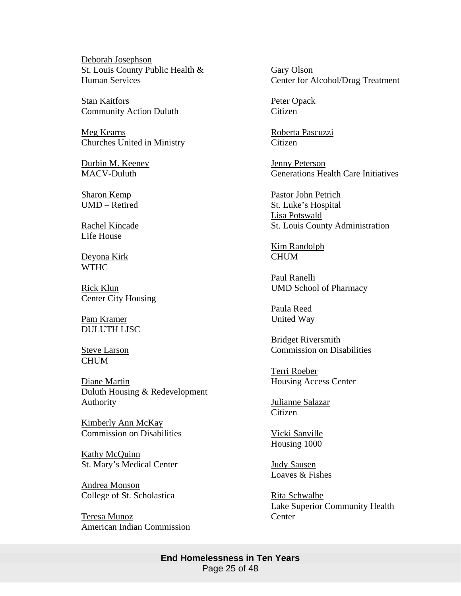Deborah Josephson St. Louis County Public Health & Human Services

Stan Kaitfors Community Action Duluth

Meg Kearns Churches United in Ministry

Durbin M. Keeney MACV-Duluth

Sharon Kemp UMD – Retired

Rachel Kincade Life House

Deyona Kirk WTHC

Rick Klun Center City Housing

Pam Kramer DULUTH LISC

Steve Larson **CHUM** 

Diane Martin Duluth Housing & Redevelopment Authority

Kimberly Ann McKay Commission on Disabilities

Kathy McQuinn St. Mary's Medical Center

Andrea Monson College of St. Scholastica

Teresa Munoz American Indian Commission Gary Olson Center for Alcohol/Drug Treatment

Peter Opack Citizen

Roberta Pascuzzi Citizen

Jenny Peterson Generations Health Care Initiatives

Pastor John Petrich St. Luke's Hospital Lisa Potswald St. Louis County Administration

Kim Randolph CHUM

Paul Ranelli UMD School of Pharmacy

Paula Reed United Way

Bridget Riversmith Commission on Disabilities

Terri Roeber Housing Access Center

Julianne Salazar Citizen

Vicki Sanville Housing 1000

Judy Sausen Loaves & Fishes

Rita Schwalbe Lake Superior Community Health **Center** 

**End Homelessness in Ten Years**  Page 25 of 48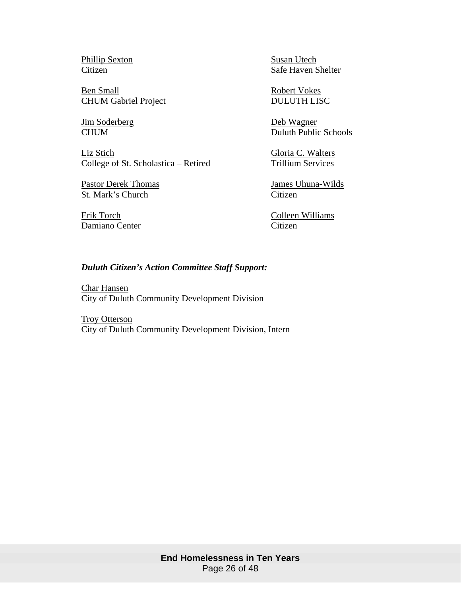Phillip Sexton Citizen

Ben Small CHUM Gabriel Project

Jim Soderberg CHUM

Liz Stich College of St. Scholastica – Retired

Pastor Derek Thomas St. Mark's Church

Erik Torch Damiano Center

Susan Utech Safe Haven Shelter

Robert Vokes DULUTH LISC

Deb Wagner Duluth Public Schools

Gloria C. Walters Trillium Services

James Uhuna-Wilds Citizen

Colleen Williams Citizen

#### *Duluth Citizen's Action Committee Staff Support:*

Char Hansen City of Duluth Community Development Division

Troy Otterson City of Duluth Community Development Division, Intern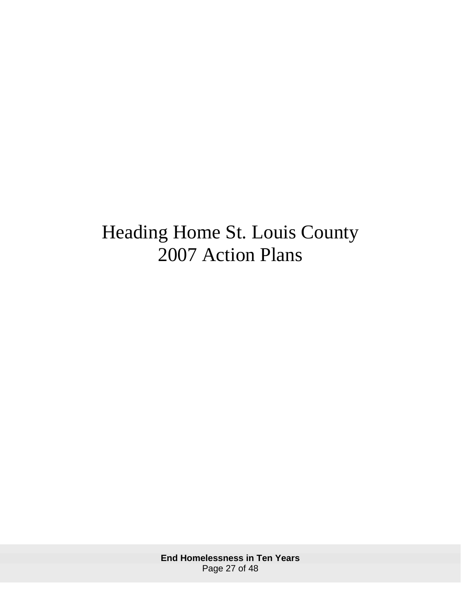# Heading Home St. Louis County 2007 Action Plans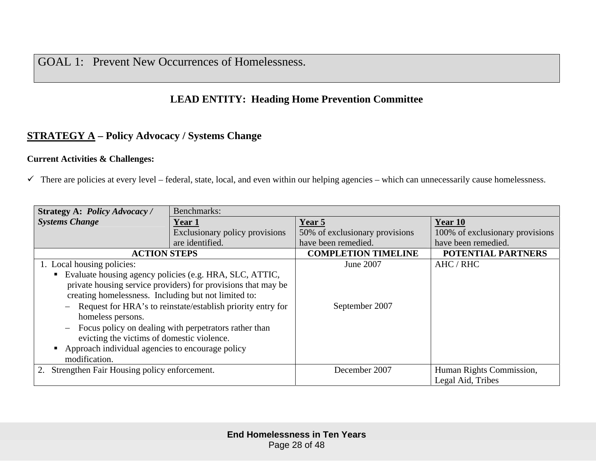GOAL 1: Prevent New Occurrences of Homelessness.

## **LEAD ENTITY: Heading Home Prevention Committee**

## **STRATEGY A – Policy Advocacy / Systems Change**

#### **Current Activities & Challenges:**

 $\checkmark$  There are policies at every level – federal, state, local, and even within our helping agencies – which can unnecessarily cause homelessness.

| <b>Strategy A: Policy Advocacy /</b>                          | Benchmarks:                                                   |                                |                                 |
|---------------------------------------------------------------|---------------------------------------------------------------|--------------------------------|---------------------------------|
| <b>Systems Change</b>                                         | Year 1                                                        | <u>Year 5</u>                  | Year 10                         |
|                                                               | Exclusionary policy provisions                                | 50% of exclusionary provisions | 100% of exclusionary provisions |
|                                                               | are identified.                                               | have been remedied.            | have been remedied.             |
| <b>ACTION STEPS</b>                                           |                                                               | <b>COMPLETION TIMELINE</b>     | <b>POTENTIAL PARTNERS</b>       |
| 1. Local housing policies:                                    |                                                               | June 2007                      | AHC / RHC                       |
|                                                               | Evaluate housing agency policies (e.g. HRA, SLC, ATTIC,       |                                |                                 |
|                                                               | private housing service providers) for provisions that may be |                                |                                 |
| creating homelessness. Including but not limited to:          |                                                               |                                |                                 |
| - Request for HRA's to reinstate/establish priority entry for |                                                               | September 2007                 |                                 |
| homeless persons.                                             |                                                               |                                |                                 |
| $\qquad \qquad -$                                             | Focus policy on dealing with perpetrators rather than         |                                |                                 |
| evicting the victims of domestic violence.                    |                                                               |                                |                                 |
| Approach individual agencies to encourage policy              |                                                               |                                |                                 |
| modification.                                                 |                                                               |                                |                                 |
| 2. Strengthen Fair Housing policy enforcement.                |                                                               | December 2007                  | Human Rights Commission,        |
|                                                               |                                                               |                                | Legal Aid, Tribes               |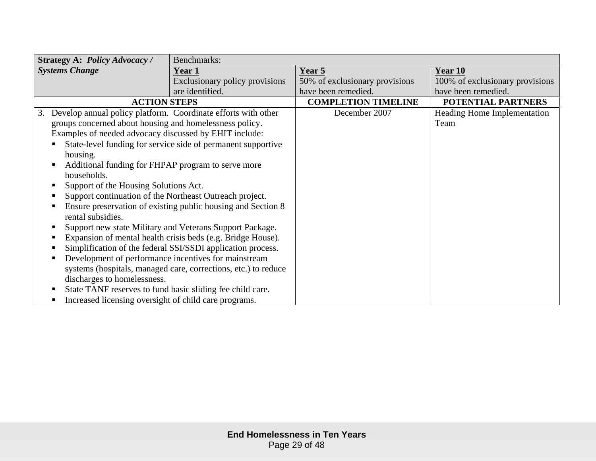| <b>Strategy A: Policy Advocacy /</b>                                              | Benchmarks:                                                  |                                |                                 |
|-----------------------------------------------------------------------------------|--------------------------------------------------------------|--------------------------------|---------------------------------|
| <b>Systems Change</b>                                                             | Year 1                                                       | Year 5                         | Year 10                         |
|                                                                                   | Exclusionary policy provisions                               | 50% of exclusionary provisions | 100% of exclusionary provisions |
|                                                                                   | are identified.                                              | have been remedied.            | have been remedied.             |
| <b>ACTION STEPS</b>                                                               |                                                              | <b>COMPLETION TIMELINE</b>     | <b>POTENTIAL PARTNERS</b>       |
| Develop annual policy platform. Coordinate efforts with other<br>3.               |                                                              | December 2007                  | Heading Home Implementation     |
| groups concerned about housing and homelessness policy.                           |                                                              |                                | Team                            |
| Examples of needed advocacy discussed by EHIT include:                            |                                                              |                                |                                 |
|                                                                                   | State-level funding for service side of permanent supportive |                                |                                 |
| housing.                                                                          |                                                              |                                |                                 |
| Additional funding for FHPAP program to serve more                                |                                                              |                                |                                 |
| households.                                                                       |                                                              |                                |                                 |
| Support of the Housing Solutions Act.                                             |                                                              |                                |                                 |
| Support continuation of the Northeast Outreach project.                           |                                                              |                                |                                 |
| Ensure preservation of existing public housing and Section 8<br>rental subsidies. |                                                              |                                |                                 |
|                                                                                   | Support new state Military and Veterans Support Package.     |                                |                                 |
|                                                                                   | Expansion of mental health crisis beds (e.g. Bridge House).  |                                |                                 |
|                                                                                   | Simplification of the federal SSI/SSDI application process.  |                                |                                 |
| Development of performance incentives for mainstream                              |                                                              |                                |                                 |
| systems (hospitals, managed care, corrections, etc.) to reduce                    |                                                              |                                |                                 |
| discharges to homelessness.                                                       |                                                              |                                |                                 |
| State TANF reserves to fund basic sliding fee child care.                         |                                                              |                                |                                 |
| Increased licensing oversight of child care programs.                             |                                                              |                                |                                 |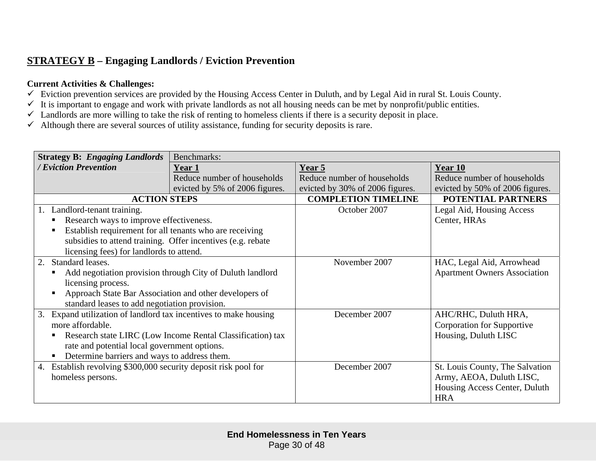## **STRATEGY B – Engaging Landlords / Eviction Prevention**

- $\checkmark$  Eviction prevention services are provided by the Housing Access Center in Duluth, and by Legal Aid in rural St. Louis County.
- $\checkmark$  It is important to engage and work with private landlords as not all housing needs can be met by nonprofit/public entities.
- $\checkmark$  Landlords are more willing to take the risk of renting to homeless clients if there is a security deposit in place.
- $\checkmark$  Although there are several sources of utility assistance, funding for security deposits is rare.

| <b>Strategy B: Engaging Landlords</b>                               | Benchmarks:                                                |                                 |                                     |
|---------------------------------------------------------------------|------------------------------------------------------------|---------------------------------|-------------------------------------|
| / Eviction Prevention                                               | Year 1                                                     | Year 5                          | Year 10                             |
|                                                                     | Reduce number of households                                | Reduce number of households     | Reduce number of households         |
|                                                                     | evicted by 5% of 2006 figures.                             | evicted by 30% of 2006 figures. | evicted by 50% of 2006 figures.     |
| <b>ACTION STEPS</b>                                                 |                                                            | <b>COMPLETION TIMELINE</b>      | <b>POTENTIAL PARTNERS</b>           |
| 1. Landlord-tenant training.                                        |                                                            | October 2007                    | Legal Aid, Housing Access           |
| Research ways to improve effectiveness.                             |                                                            |                                 | Center, HRAs                        |
| Establish requirement for all tenants who are receiving             |                                                            |                                 |                                     |
| subsidies to attend training. Offer incentives (e.g. rebate         |                                                            |                                 |                                     |
| licensing fees) for landlords to attend.                            |                                                            |                                 |                                     |
| Standard leases.<br>2.                                              |                                                            | November 2007                   | HAC, Legal Aid, Arrowhead           |
|                                                                     | Add negotiation provision through City of Duluth landlord  |                                 | <b>Apartment Owners Association</b> |
| licensing process.                                                  |                                                            |                                 |                                     |
| Approach State Bar Association and other developers of              |                                                            |                                 |                                     |
| standard leases to add negotiation provision.                       |                                                            |                                 |                                     |
| Expand utilization of landlord tax incentives to make housing<br>3. |                                                            | December 2007                   | AHC/RHC, Duluth HRA,                |
| more affordable.                                                    |                                                            |                                 | Corporation for Supportive          |
|                                                                     | Research state LIRC (Low Income Rental Classification) tax |                                 | Housing, Duluth LISC                |
| rate and potential local government options.                        |                                                            |                                 |                                     |
| Determine barriers and ways to address them.                        |                                                            |                                 |                                     |
| 4. Establish revolving \$300,000 security deposit risk pool for     |                                                            | December 2007                   | St. Louis County, The Salvation     |
| homeless persons.                                                   |                                                            |                                 | Army, AEOA, Duluth LISC,            |
|                                                                     |                                                            |                                 | Housing Access Center, Duluth       |
|                                                                     |                                                            |                                 | <b>HRA</b>                          |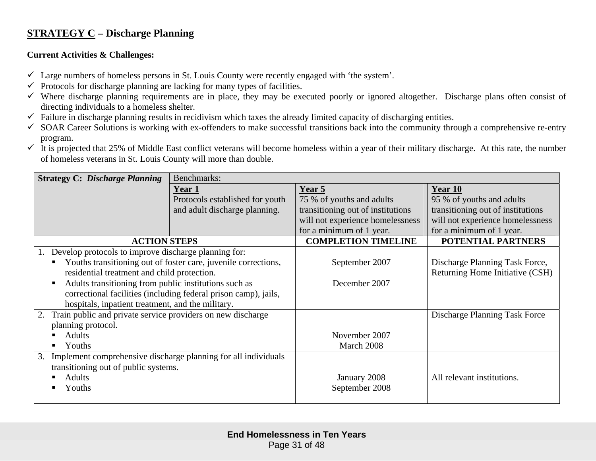### **STRATEGY C – Discharge Planning**

- $\checkmark$  Large numbers of homeless persons in St. Louis County were recently engaged with 'the system'.
- $\checkmark$  Protocols for discharge planning are lacking for many types of facilities.
- $\checkmark$  Where discharge planning requirements are in place, they may be executed poorly or ignored altogether. Discharge plans often consist of directing individuals to a homeless shelter.
- $\checkmark$  Failure in discharge planning results in recidivism which taxes the already limited capacity of discharging entities.
- $\checkmark$  SOAR Career Solutions is working with ex-offenders to make successful transitions back into the community through a comprehensive re-entry program.
- $\checkmark$  It is projected that 25% of Middle East conflict veterans will become homeless within a year of their military discharge. At this rate, the number of homeless veterans in St. Louis County will more than double.

| <b>Strategy C: Discharge Planning</b>                                | Benchmarks:                                                     |                                   |                                   |
|----------------------------------------------------------------------|-----------------------------------------------------------------|-----------------------------------|-----------------------------------|
|                                                                      | Year 1                                                          | Year 5                            | <b>Year 10</b>                    |
|                                                                      | Protocols established for youth                                 | 75 % of youths and adults         | 95 % of youths and adults         |
|                                                                      | and adult discharge planning.                                   | transitioning out of institutions | transitioning out of institutions |
|                                                                      |                                                                 | will not experience homelessness  | will not experience homelessness  |
|                                                                      |                                                                 | for a minimum of 1 year.          | for a minimum of 1 year.          |
| <b>ACTION STEPS</b>                                                  |                                                                 | <b>COMPLETION TIMELINE</b>        | <b>POTENTIAL PARTNERS</b>         |
| Develop protocols to improve discharge planning for:<br>1.           |                                                                 |                                   |                                   |
|                                                                      | Youths transitioning out of foster care, juvenile corrections,  | September 2007                    | Discharge Planning Task Force,    |
| residential treatment and child protection.                          |                                                                 |                                   | Returning Home Initiative (CSH)   |
| Adults transitioning from public institutions such as                |                                                                 | December 2007                     |                                   |
|                                                                      | correctional facilities (including federal prison camp), jails, |                                   |                                   |
| hospitals, inpatient treatment, and the military.                    |                                                                 |                                   |                                   |
| Train public and private service providers on new discharge<br>2.    |                                                                 |                                   | Discharge Planning Task Force     |
| planning protocol.                                                   |                                                                 |                                   |                                   |
| Adults                                                               |                                                                 | November 2007                     |                                   |
| Youths                                                               |                                                                 | March 2008                        |                                   |
| Implement comprehensive discharge planning for all individuals<br>3. |                                                                 |                                   |                                   |
| transitioning out of public systems.                                 |                                                                 |                                   |                                   |
| <b>Adults</b>                                                        |                                                                 | January 2008                      | All relevant institutions.        |
| Youths                                                               |                                                                 | September 2008                    |                                   |
|                                                                      |                                                                 |                                   |                                   |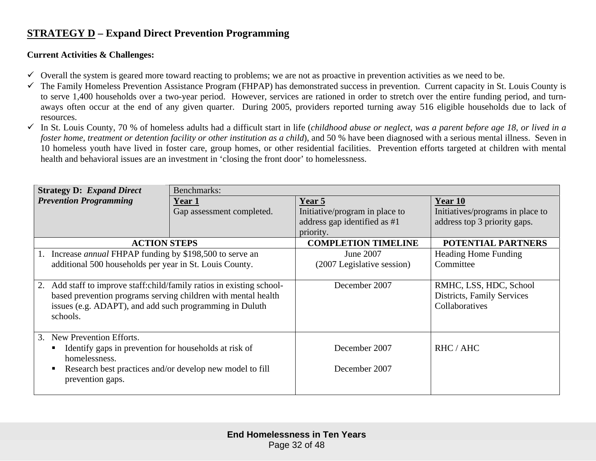### **STRATEGY D – Expand Direct Prevention Programming**

- $\checkmark$  Overall the system is geared more toward reacting to problems; we are not as proactive in prevention activities as we need to be.
- $\checkmark$  The Family Homeless Prevention Assistance Program (FHPAP) has demonstrated success in prevention. Current capacity in St. Louis County is to serve 1,400 households over a two-year period. However, services are rationed in order to stretch over the entire funding period, and turnaways often occur at the end of any given quarter. During 2005, providers reported turning away 516 eligible households due to lack of resources.
- $\checkmark$  In St. Louis County, 70 % of homeless adults had a difficult start in life (*childhood abuse or neglect, was a parent before age 18, or lived in a foster home, treatment or detention facility or other institution as a child*), and 50 % have been diagnosed with a serious mental illness. Seven in 10 homeless youth have lived in foster care, group homes, or other residential facilities. Prevention efforts targeted at children with mental health and behavioral issues are an investment in 'closing the front door' to homelessness.

| <b>Strategy D: Expand Direct</b>                                         | Benchmarks:               |                                |                                  |
|--------------------------------------------------------------------------|---------------------------|--------------------------------|----------------------------------|
| <b>Prevention Programming</b>                                            | <b>Year 1</b>             | Year 5                         | Year 10                          |
|                                                                          | Gap assessment completed. | Initiative/program in place to | Initiatives/programs in place to |
|                                                                          |                           | address gap identified as #1   | address top 3 priority gaps.     |
|                                                                          |                           | priority.                      |                                  |
| <b>ACTION STEPS</b>                                                      |                           | <b>COMPLETION TIMELINE</b>     | <b>POTENTIAL PARTNERS</b>        |
| Increase <i>annual</i> FHPAP funding by \$198,500 to serve an            |                           | June 2007                      | <b>Heading Home Funding</b>      |
| additional 500 households per year in St. Louis County.                  |                           | (2007 Legislative session)     | Committee                        |
|                                                                          |                           |                                |                                  |
| Add staff to improve staff:child/family ratios in existing school-<br>2. |                           | December 2007                  | RMHC, LSS, HDC, School           |
| based prevention programs serving children with mental health            |                           |                                | Districts, Family Services       |
| issues (e.g. ADAPT), and add such programming in Duluth                  |                           |                                | Collaboratives                   |
| schools.                                                                 |                           |                                |                                  |
|                                                                          |                           |                                |                                  |
| New Prevention Efforts.<br>3.                                            |                           |                                |                                  |
| Identify gaps in prevention for households at risk of                    |                           | December 2007                  | RHC / AHC                        |
| homelessness.                                                            |                           |                                |                                  |
| Research best practices and/or develop new model to fill                 |                           | December 2007                  |                                  |
| prevention gaps.                                                         |                           |                                |                                  |
|                                                                          |                           |                                |                                  |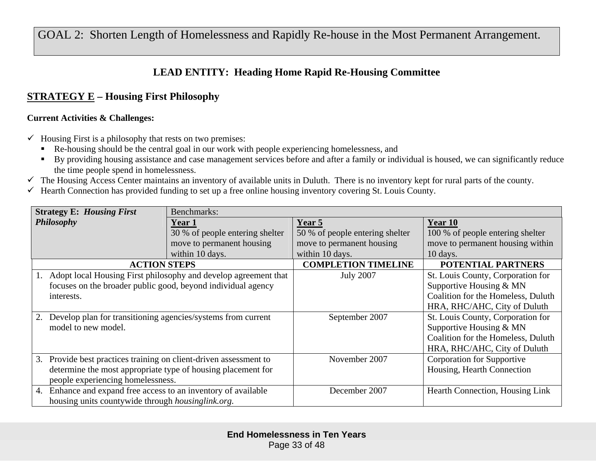GOAL 2: Shorten Length of Homelessness and Rapidly Re-house in the Most Permanent Arrangement.

## **LEAD ENTITY: Heading Home Rapid Re-Housing Committee**

## **STRATEGY E – Housing First Philosophy**

- $\checkmark$  Housing First is a philosophy that rests on two premises:
	- ٠ Re-housing should be the central goal in our work with people experiencing homelessness, and
	- By providing housing assistance and case management services before and after a family or individual is housed, we can significantly reduce the time people spend in homelessness.
- $\checkmark$  The Housing Access Center maintains an inventory of available units in Duluth. There is no inventory kept for rural parts of the county.
- $\checkmark$  Hearth Connection has provided funding to set up a free online housing inventory covering St. Louis County.

| <b>Strategy E: Housing First</b>                                     | Benchmarks:                                                     |                                 |                                    |  |
|----------------------------------------------------------------------|-----------------------------------------------------------------|---------------------------------|------------------------------------|--|
| <b>Philosophy</b>                                                    | <b>Year 1</b>                                                   | Year 5                          | Year 10                            |  |
|                                                                      | 30 % of people entering shelter                                 | 50 % of people entering shelter | 100 % of people entering shelter   |  |
|                                                                      | move to permanent housing                                       | move to permanent housing       | move to permanent housing within   |  |
|                                                                      | within 10 days.                                                 | within 10 days.                 | $10 \text{ days}.$                 |  |
| <b>ACTION STEPS</b>                                                  |                                                                 | <b>COMPLETION TIMELINE</b>      | <b>POTENTIAL PARTNERS</b>          |  |
|                                                                      | Adopt local Housing First philosophy and develop agreement that | <b>July 2007</b>                | St. Louis County, Corporation for  |  |
| focuses on the broader public good, beyond individual agency         |                                                                 |                                 | Supportive Housing & MN            |  |
| interests.                                                           |                                                                 |                                 | Coalition for the Homeless, Duluth |  |
|                                                                      |                                                                 |                                 | HRA, RHC/AHC, City of Duluth       |  |
| Develop plan for transitioning agencies/systems from current<br>2.   |                                                                 | September 2007                  | St. Louis County, Corporation for  |  |
| model to new model.                                                  |                                                                 |                                 | Supportive Housing & MN            |  |
|                                                                      |                                                                 |                                 | Coalition for the Homeless, Duluth |  |
|                                                                      |                                                                 |                                 | HRA, RHC/AHC, City of Duluth       |  |
| Provide best practices training on client-driven assessment to<br>3. |                                                                 | November 2007                   | Corporation for Supportive         |  |
| determine the most appropriate type of housing placement for         |                                                                 |                                 | Housing, Hearth Connection         |  |
| people experiencing homelessness.                                    |                                                                 |                                 |                                    |  |
| Enhance and expand free access to an inventory of available<br>4.    |                                                                 | December 2007                   | Hearth Connection, Housing Link    |  |
| housing units countywide through <i>housinglink.org.</i>             |                                                                 |                                 |                                    |  |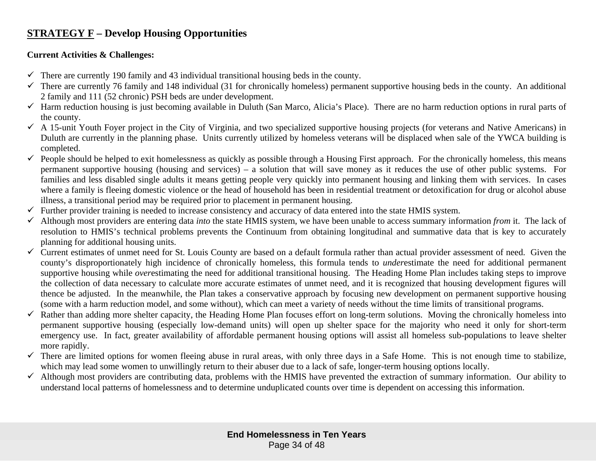## **STRATEGY F – Develop Housing Opportunities**

- $\checkmark$ There are currently 190 family and 43 individual transitional housing beds in the county.
- $\checkmark$  There are currently 76 family and 148 individual (31 for chronically homeless) permanent supportive housing beds in the county. An additional 2 family and 111 (52 chronic) PSH beds are under development.
- $\checkmark$  Harm reduction housing is just becoming available in Duluth (San Marco, Alicia's Place). There are no harm reduction options in rural parts of the county.
- $\checkmark$  A 15-unit Youth Foyer project in the City of Virginia, and two specialized supportive housing projects (for veterans and Native Americans) in Duluth are currently in the planning phase. Units currently utilized by homeless veterans will be displaced when sale of the YWCA building is completed.
- $\checkmark$  People should be helped to exit homelessness as quickly as possible through a Housing First approach. For the chronically homeless, this means permanent supportive housing (housing and services) – a solution that will save money as it reduces the use of other public systems. For families and less disabled single adults it means getting people very quickly into permanent housing and linking them with services. In cases where a family is fleeing domestic violence or the head of household has been in residential treatment or detoxification for drug or alcohol abuse illness, a transitional period may be required prior to placement in permanent housing.
- $\checkmark$  Further provider training is needed to increase consistency and accuracy of data entered into the state HMIS system.
- 9 Although most providers are entering data *into* the state HMIS system, we have been unable to access summary information *from* it. The lack of resolution to HMIS's technical problems prevents the Continuum from obtaining longitudinal and summative data that is key to accurately planning for additional housing units.
- $\checkmark$  Current estimates of unmet need for St. Louis County are based on a default formula rather than actual provider assessment of need. Given the county's disproportionately high incidence of chronically homeless, this formula tends to *under*estimate the need for additional permanent supportive housing while *over*estimating the need for additional transitional housing. The Heading Home Plan includes taking steps to improve the collection of data necessary to calculate more accurate estimates of unmet need, and it is recognized that housing development figures will thence be adjusted. In the meanwhile, the Plan takes a conservative approach by focusing new development on permanent supportive housing (some with a harm reduction model, and some without), which can meet a variety of needs without the time limits of transitional programs.
- $\checkmark$  Rather than adding more shelter capacity, the Heading Home Plan focuses effort on long-term solutions. Moving the chronically homeless into permanent supportive housing (especially low-demand units) will open up shelter space for the majority who need it only for short-term emergency use. In fact, greater availability of affordable permanent housing options will assist all homeless sub-populations to leave shelter more rapidly.
- $\checkmark$  There are limited options for women fleeing abuse in rural areas, with only three days in a Safe Home. This is not enough time to stabilize, which may lead some women to unwillingly return to their abuser due to a lack of safe, longer-term housing options locally.
- $\checkmark$  Although most providers are contributing data, problems with the HMIS have prevented the extraction of summary information. Our ability to understand local patterns of homelessness and to determine unduplicated counts over time is dependent on accessing this information.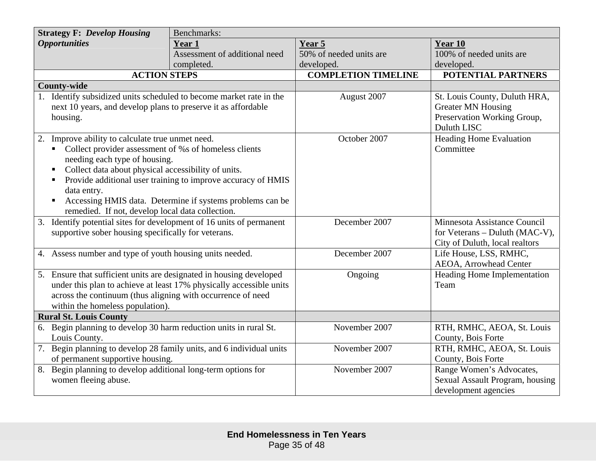| Benchmarks:<br><b>Strategy F: Develop Housing</b>                                                                                                                                                                                                                                                                                                                                                 |                                                                     |                            |                                                                                                          |
|---------------------------------------------------------------------------------------------------------------------------------------------------------------------------------------------------------------------------------------------------------------------------------------------------------------------------------------------------------------------------------------------------|---------------------------------------------------------------------|----------------------------|----------------------------------------------------------------------------------------------------------|
| <b>Opportunities</b>                                                                                                                                                                                                                                                                                                                                                                              | Year 1                                                              | Year 5                     | Year 10                                                                                                  |
|                                                                                                                                                                                                                                                                                                                                                                                                   | Assessment of additional need                                       | 50% of needed units are    | 100% of needed units are                                                                                 |
|                                                                                                                                                                                                                                                                                                                                                                                                   | completed.                                                          | developed.                 | developed.                                                                                               |
| <b>ACTION STEPS</b>                                                                                                                                                                                                                                                                                                                                                                               |                                                                     | <b>COMPLETION TIMELINE</b> | POTENTIAL PARTNERS                                                                                       |
| <b>County-wide</b>                                                                                                                                                                                                                                                                                                                                                                                |                                                                     |                            |                                                                                                          |
| Identify subsidized units scheduled to become market rate in the<br>next 10 years, and develop plans to preserve it as affordable<br>housing.                                                                                                                                                                                                                                                     |                                                                     | August 2007                | St. Louis County, Duluth HRA,<br><b>Greater MN Housing</b><br>Preservation Working Group,<br>Duluth LISC |
| 2. Improve ability to calculate true unmet need.<br>Collect provider assessment of %s of homeless clients<br>needing each type of housing.<br>Collect data about physical accessibility of units.<br>Provide additional user training to improve accuracy of HMIS<br>data entry.<br>Accessing HMIS data. Determine if systems problems can be<br>remedied. If not, develop local data collection. |                                                                     | October 2007               | <b>Heading Home Evaluation</b><br>Committee                                                              |
| 3. Identify potential sites for development of 16 units of permanent<br>supportive sober housing specifically for veterans.                                                                                                                                                                                                                                                                       |                                                                     | December 2007              | Minnesota Assistance Council<br>for Veterans - Duluth (MAC-V),<br>City of Duluth, local realtors         |
| 4. Assess number and type of youth housing units needed.                                                                                                                                                                                                                                                                                                                                          |                                                                     | December 2007              | Life House, LSS, RMHC,<br>AEOA, Arrowhead Center                                                         |
| 5. Ensure that sufficient units are designated in housing developed<br>across the continuum (thus aligning with occurrence of need<br>within the homeless population).                                                                                                                                                                                                                            | under this plan to achieve at least 17% physically accessible units | Ongoing                    | Heading Home Implementation<br>Team                                                                      |
| <b>Rural St. Louis County</b>                                                                                                                                                                                                                                                                                                                                                                     |                                                                     |                            |                                                                                                          |
| 6. Begin planning to develop 30 harm reduction units in rural St.<br>Louis County.                                                                                                                                                                                                                                                                                                                |                                                                     | November 2007              | RTH, RMHC, AEOA, St. Louis<br>County, Bois Forte                                                         |
| 7. Begin planning to develop 28 family units, and 6 individual units<br>of permanent supportive housing.                                                                                                                                                                                                                                                                                          |                                                                     | November 2007              | RTH, RMHC, AEOA, St. Louis<br>County, Bois Forte                                                         |
| 8. Begin planning to develop additional long-term options for<br>women fleeing abuse.                                                                                                                                                                                                                                                                                                             |                                                                     | November 2007              | Range Women's Advocates,<br>Sexual Assault Program, housing<br>development agencies                      |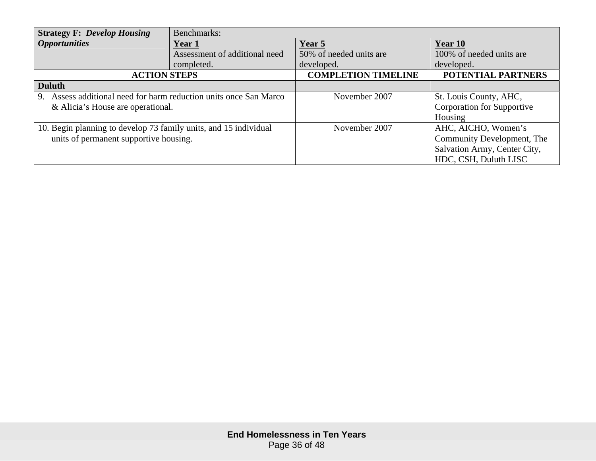| <b>Strategy F: Develop Housing</b>                                   | Benchmarks:                   |                            |                              |  |
|----------------------------------------------------------------------|-------------------------------|----------------------------|------------------------------|--|
| <b>Opportunities</b>                                                 | <b>Year 1</b>                 | Year 5                     | Year 10                      |  |
|                                                                      | Assessment of additional need | 50% of needed units are    | 100% of needed units are     |  |
|                                                                      | completed.                    | developed.                 | developed.                   |  |
| <b>ACTION STEPS</b>                                                  |                               | <b>COMPLETION TIMELINE</b> | POTENTIAL PARTNERS           |  |
| <b>Duluth</b>                                                        |                               |                            |                              |  |
| Assess additional need for harm reduction units once San Marco<br>9. |                               | November 2007              | St. Louis County, AHC,       |  |
| & Alicia's House are operational.                                    |                               |                            | Corporation for Supportive   |  |
|                                                                      |                               |                            | Housing                      |  |
| 10. Begin planning to develop 73 family units, and 15 individual     |                               | November 2007              | AHC, AICHO, Women's          |  |
| units of permanent supportive housing.                               |                               |                            | Community Development, The   |  |
|                                                                      |                               |                            | Salvation Army, Center City, |  |
|                                                                      |                               |                            | HDC, CSH, Duluth LISC        |  |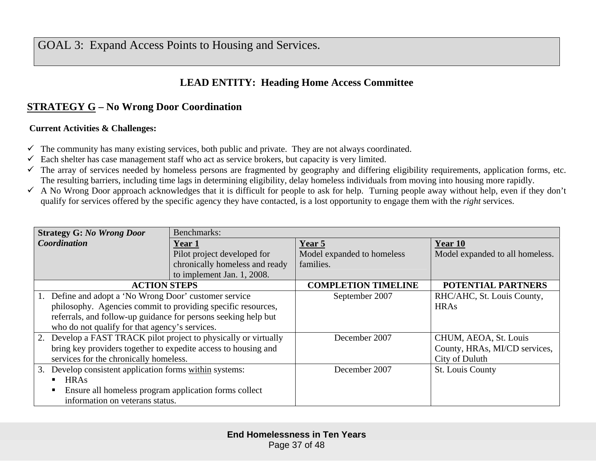GOAL 3: Expand Access Points to Housing and Services.

## **LEAD ENTITY: Heading Home Access Committee**

## **STRATEGY G – No Wrong Door Coordination**

- $\checkmark$ The community has many existing services, both public and private. They are not always coordinated.
- $\checkmark$  Each shelter has case management staff who act as service brokers, but capacity is very limited.
- $\checkmark$  The array of services needed by homeless persons are fragmented by geography and differing eligibility requirements, application forms, etc. The resulting barriers, including time lags in determining eligibility, delay homeless individuals from moving into housing more rapidly.
- $\checkmark$  A No Wrong Door approach acknowledges that it is difficult for people to ask for help. Turning people away without help, even if they don't qualify for services offered by the specific agency they have contacted, is a lost opportunity to engage them with the *right* services.

| <b>Strategy G: No Wrong Door</b>                                 | Benchmarks:                    |                            |                                 |  |
|------------------------------------------------------------------|--------------------------------|----------------------------|---------------------------------|--|
| Coordination                                                     | Year 1                         | Year 5                     | Year 10                         |  |
|                                                                  | Pilot project developed for    | Model expanded to homeless | Model expanded to all homeless. |  |
|                                                                  | chronically homeless and ready | families.                  |                                 |  |
|                                                                  | to implement Jan. 1, 2008.     |                            |                                 |  |
| <b>ACTION STEPS</b>                                              |                                | <b>COMPLETION TIMELINE</b> | <b>POTENTIAL PARTNERS</b>       |  |
| 1. Define and adopt a 'No Wrong Door' customer service           |                                | September 2007             | RHC/AHC, St. Louis County,      |  |
| philosophy. Agencies commit to providing specific resources,     |                                |                            | <b>HRAs</b>                     |  |
| referrals, and follow-up guidance for persons seeking help but   |                                |                            |                                 |  |
| who do not qualify for that agency's services.                   |                                |                            |                                 |  |
| 2. Develop a FAST TRACK pilot project to physically or virtually |                                | December 2007              | CHUM, AEOA, St. Louis           |  |
| bring key providers together to expedite access to housing and   |                                |                            | County, HRAs, MI/CD services,   |  |
| services for the chronically homeless.                           |                                |                            | City of Duluth                  |  |
| Develop consistent application forms within systems:<br>3.       |                                | December 2007              | St. Louis County                |  |
| <b>HRAs</b>                                                      |                                |                            |                                 |  |
| Ensure all homeless program application forms collect            |                                |                            |                                 |  |
| information on veterans status.                                  |                                |                            |                                 |  |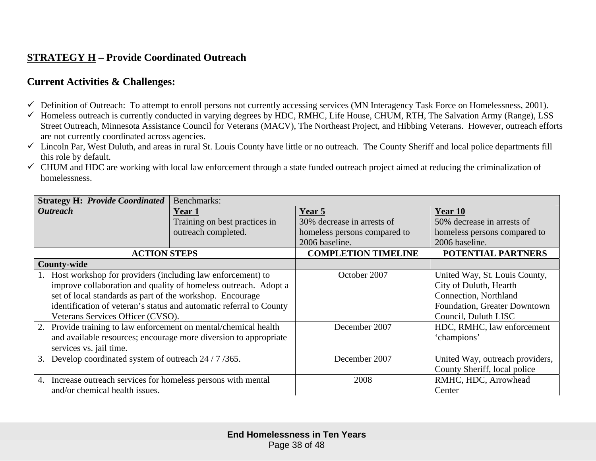## **STRATEGY H – Provide Coordinated Outreach**

- $\checkmark$  Definition of Outreach: To attempt to enroll persons not currently accessing services (MN Interagency Task Force on Homelessness, 2001).
- $\checkmark$  Homeless outreach is currently conducted in varying degrees by HDC, RMHC, Life House, CHUM, RTH, The Salvation Army (Range), LSS Street Outreach, Minnesota Assistance Council for Veterans (MACV), The Northeast Project, and Hibbing Veterans. However, outreach efforts are not currently coordinated across agencies.
- $\checkmark$  Lincoln Par, West Duluth, and areas in rural St. Louis County have little or no outreach. The County Sheriff and local police departments fill this role by default.
- $\checkmark$  CHUM and HDC are working with local law enforcement through a state funded outreach project aimed at reducing the criminalization of homelessness.

| <b>Strategy H: Provide Coordinated</b>                              | Benchmarks:                                                      |                              |                                 |
|---------------------------------------------------------------------|------------------------------------------------------------------|------------------------------|---------------------------------|
| <b>Outreach</b>                                                     | <b>Year 1</b>                                                    | Year 5                       | Year 10                         |
|                                                                     | Training on best practices in                                    | 30% decrease in arrests of   | 50% decrease in arrests of      |
|                                                                     | outreach completed.                                              | homeless persons compared to | homeless persons compared to    |
|                                                                     |                                                                  | 2006 baseline.               | 2006 baseline.                  |
| <b>ACTION STEPS</b>                                                 |                                                                  | <b>COMPLETION TIMELINE</b>   | POTENTIAL PARTNERS              |
| <b>County-wide</b>                                                  |                                                                  |                              |                                 |
| Host workshop for providers (including law enforcement) to          |                                                                  | October 2007                 | United Way, St. Louis County,   |
|                                                                     | improve collaboration and quality of homeless outreach. Adopt a  |                              | City of Duluth, Hearth          |
| set of local standards as part of the workshop. Encourage           |                                                                  |                              | Connection, Northland           |
| identification of veteran's status and automatic referral to County |                                                                  |                              | Foundation, Greater Downtown    |
| Veterans Services Officer (CVSO).                                   |                                                                  |                              | Council, Duluth LISC            |
| Provide training to law enforcement on mental/chemical health<br>2. |                                                                  | December 2007                | HDC, RMHC, law enforcement      |
|                                                                     | and available resources; encourage more diversion to appropriate |                              | 'champions'                     |
| services vs. jail time.                                             |                                                                  |                              |                                 |
| Develop coordinated system of outreach 24 / 7/365.<br>3.            |                                                                  | December 2007                | United Way, outreach providers, |
|                                                                     |                                                                  |                              | County Sheriff, local police    |
| Increase outreach services for homeless persons with mental<br>4.   |                                                                  | 2008                         | RMHC, HDC, Arrowhead            |
| and/or chemical health issues.                                      |                                                                  |                              | Center                          |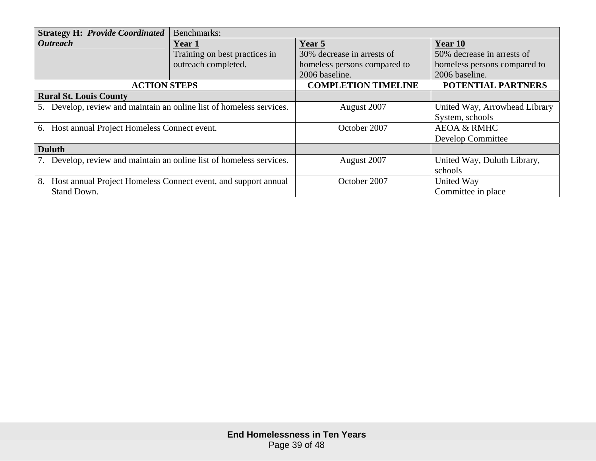| <b>Strategy H: Provide Coordinated</b>                               | Benchmarks:                                                    |                              |                               |  |
|----------------------------------------------------------------------|----------------------------------------------------------------|------------------------------|-------------------------------|--|
| <b>Outreach</b>                                                      | Year <sub>1</sub>                                              | Year 5                       | Year 10                       |  |
|                                                                      | Training on best practices in                                  | 30% decrease in arrests of   | 50% decrease in arrests of    |  |
|                                                                      | outreach completed.                                            | homeless persons compared to | homeless persons compared to  |  |
|                                                                      |                                                                | 2006 baseline.               | 2006 baseline.                |  |
| <b>ACTION STEPS</b>                                                  |                                                                | <b>COMPLETION TIMELINE</b>   | POTENTIAL PARTNERS            |  |
| <b>Rural St. Louis County</b>                                        |                                                                |                              |                               |  |
| 5. Develop, review and maintain an online list of homeless services. |                                                                | August 2007                  | United Way, Arrowhead Library |  |
|                                                                      |                                                                |                              | System, schools               |  |
| 6. Host annual Project Homeless Connect event.                       |                                                                | October 2007                 | <b>AEOA &amp; RMHC</b>        |  |
|                                                                      |                                                                |                              | <b>Develop Committee</b>      |  |
| <b>Duluth</b>                                                        |                                                                |                              |                               |  |
| 7. Develop, review and maintain an online list of homeless services. |                                                                | August 2007                  | United Way, Duluth Library,   |  |
|                                                                      |                                                                |                              | schools                       |  |
| 8.                                                                   | Host annual Project Homeless Connect event, and support annual | October 2007                 | United Way                    |  |
| Stand Down.                                                          |                                                                |                              | Committee in place            |  |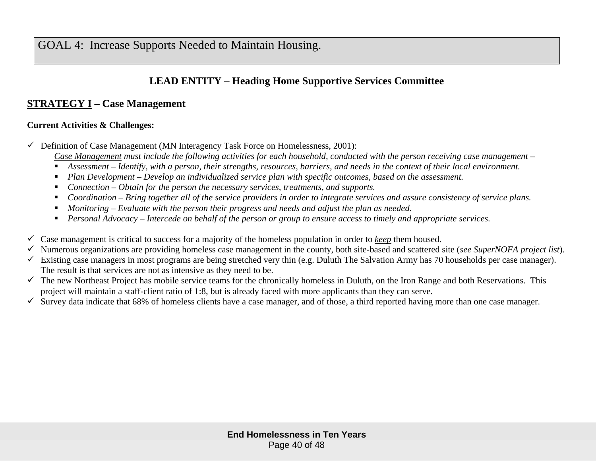## **LEAD ENTITY – Heading Home Supportive Services Committee**

## **STRATEGY I – Case Management**

### **Current Activities & Challenges:**

 $\checkmark$  Definition of Case Management (MN Interagency Task Force on Homelessness, 2001):

*Case Management must include the following activities for each household, conducted with the person receiving case management –* 

- н *Assessment – Identify, with a person, their strengths, resources, barriers, and needs in the context of their local environment.*
- Г *Plan Development – Develop an individualized service plan with specific outcomes, based on the assessment.*
- *Connection Obtain for the person the necessary services, treatments, and supports.*
- Г *Coordination – Bring together all of the service providers in order to integrate services and assure consistency of service plans.*
- Г *Monitoring – Evaluate with the person their progress and needs and adjust the plan as needed.*
- н *Personal Advocacy – Intercede on behalf of the person or group to ensure access to timely and appropriate services.*
- $\checkmark$ Case management is critical to success for a majority of the homeless population in order to *keep* them housed.
- $\checkmark$ Numerous organizations are providing homeless case management in the county, both site-based and scattered site (*see SuperNOFA project list*).
- $\checkmark$  Existing case managers in most programs are being stretched very thin (e.g. Duluth The Salvation Army has 70 households per case manager). The result is that services are not as intensive as they need to be.
- $\checkmark$  The new Northeast Project has mobile service teams for the chronically homeless in Duluth, on the Iron Range and both Reservations. This project will maintain a staff-client ratio of 1:8, but is already faced with more applicants than they can serve.
- $\checkmark$ Survey data indicate that 68% of homeless clients have a case manager, and of those, a third reported having more than one case manager.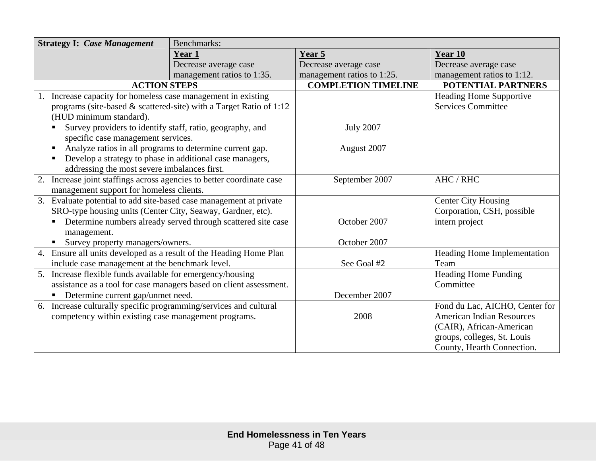|    | <b>Strategy I: Case Management</b>                                 | Benchmarks:                                                        |                            |                                  |
|----|--------------------------------------------------------------------|--------------------------------------------------------------------|----------------------------|----------------------------------|
|    |                                                                    | Year 1                                                             | Year 5                     | Year 10                          |
|    |                                                                    | Decrease average case                                              | Decrease average case      | Decrease average case            |
|    |                                                                    | management ratios to 1:35.                                         | management ratios to 1:25. | management ratios to 1:12.       |
|    | <b>ACTION STEPS</b>                                                |                                                                    | <b>COMPLETION TIMELINE</b> | <b>POTENTIAL PARTNERS</b>        |
|    | Increase capacity for homeless case management in existing         |                                                                    |                            | <b>Heading Home Supportive</b>   |
|    |                                                                    | programs (site-based & scattered-site) with a Target Ratio of 1:12 |                            | <b>Services Committee</b>        |
|    | (HUD minimum standard).                                            |                                                                    |                            |                                  |
|    | Survey providers to identify staff, ratio, geography, and          |                                                                    | <b>July 2007</b>           |                                  |
|    | specific case management services.                                 |                                                                    |                            |                                  |
|    | Analyze ratios in all programs to determine current gap.           |                                                                    | August 2007                |                                  |
|    | Develop a strategy to phase in additional case managers,           |                                                                    |                            |                                  |
|    | addressing the most severe imbalances first.                       |                                                                    |                            |                                  |
| 2. | Increase joint staffings across agencies to better coordinate case |                                                                    | September 2007             | AHC / RHC                        |
|    | management support for homeless clients.                           |                                                                    |                            |                                  |
|    | 3. Evaluate potential to add site-based case management at private |                                                                    |                            | <b>Center City Housing</b>       |
|    | SRO-type housing units (Center City, Seaway, Gardner, etc).        |                                                                    |                            | Corporation, CSH, possible       |
|    |                                                                    | Determine numbers already served through scattered site case       | October 2007               | intern project                   |
|    | management.                                                        |                                                                    |                            |                                  |
|    | Survey property managers/owners.<br>п.                             |                                                                    | October 2007               |                                  |
|    | 4. Ensure all units developed as a result of the Heading Home Plan |                                                                    |                            | Heading Home Implementation      |
|    | include case management at the benchmark level.                    |                                                                    | See Goal #2                | Team                             |
| 5. | Increase flexible funds available for emergency/housing            |                                                                    |                            | <b>Heading Home Funding</b>      |
|    |                                                                    | assistance as a tool for case managers based on client assessment. |                            | Committee                        |
|    | • Determine current gap/unmet need.                                |                                                                    | December 2007              |                                  |
| 6. | Increase culturally specific programming/services and cultural     |                                                                    |                            | Fond du Lac, AICHO, Center for   |
|    | competency within existing case management programs.               |                                                                    | 2008                       | <b>American Indian Resources</b> |
|    |                                                                    |                                                                    |                            | (CAIR), African-American         |
|    |                                                                    |                                                                    |                            | groups, colleges, St. Louis      |
|    |                                                                    |                                                                    |                            | County, Hearth Connection.       |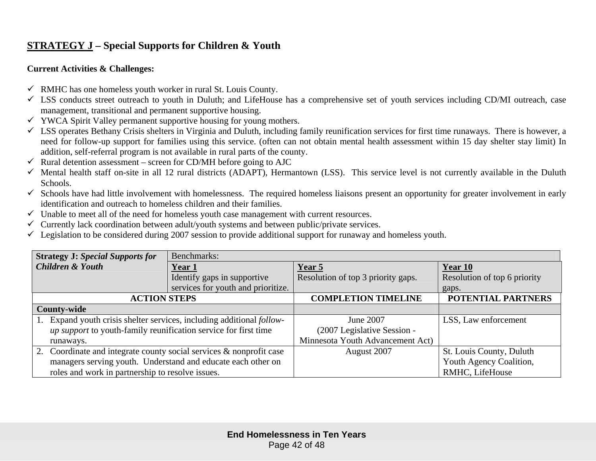## **STRATEGY J – Special Supports for Children & Youth**

- $\checkmark$  RMHC has one homeless youth worker in rural St. Louis County.
- $\checkmark$  LSS conducts street outreach to youth in Duluth; and LifeHouse has a comprehensive set of youth services including CD/MI outreach, case management, transitional and permanent supportive housing.
- $\checkmark$  YWCA Spirit Valley permanent supportive housing for young mothers.
- $\checkmark$  LSS operates Bethany Crisis shelters in Virginia and Duluth, including family reunification services for first time runaways. There is however, a need for follow-up support for families using this service. (often can not obtain mental health assessment within 15 day shelter stay limit) In addition, self-referral program is not available in rural parts of the county.
- $\checkmark$  Rural detention assessment screen for CD/MH before going to AJC
- $\checkmark$  Mental health staff on-site in all 12 rural districts (ADAPT), Hermantown (LSS). This service level is not currently available in the Duluth Schools.
- $\checkmark$  Schools have had little involvement with homelessness. The required homeless liaisons present an opportunity for greater involvement in early identification and outreach to homeless children and their families.
- $\checkmark$  Unable to meet all of the need for homeless youth case management with current resources.
- $\checkmark$  Currently lack coordination between adult/youth systems and between public/private services.
- $\checkmark$  Legislation to be considered during 2007 session to provide additional support for runaway and homeless youth.

| <b>Strategy J: Special Supports for</b>                                   | Benchmarks:                                                        |                                    |                              |
|---------------------------------------------------------------------------|--------------------------------------------------------------------|------------------------------------|------------------------------|
| <b>Children &amp; Youth</b>                                               | Year <sub>1</sub>                                                  | Year 5                             | Year 10                      |
|                                                                           | Identify gaps in supportive                                        | Resolution of top 3 priority gaps. | Resolution of top 6 priority |
|                                                                           | services for youth and prioritize.                                 |                                    | gaps.                        |
| <b>ACTION STEPS</b>                                                       |                                                                    | <b>COMPLETION TIMELINE</b>         | POTENTIAL PARTNERS           |
| <b>County-wide</b>                                                        |                                                                    |                                    |                              |
|                                                                           | Expand youth crisis shelter services, including additional follow- | June 2007                          | LSS, Law enforcement         |
| up support to youth-family reunification service for first time           |                                                                    | (2007 Legislative Session -        |                              |
| runaways.                                                                 |                                                                    | Minnesota Youth Advancement Act)   |                              |
| Coordinate and integrate county social services $\&$ nonprofit case<br>2. |                                                                    | August 2007                        | St. Louis County, Duluth     |
| managers serving youth. Understand and educate each other on              |                                                                    |                                    | Youth Agency Coalition,      |
| roles and work in partnership to resolve issues.                          |                                                                    |                                    | RMHC, LifeHouse              |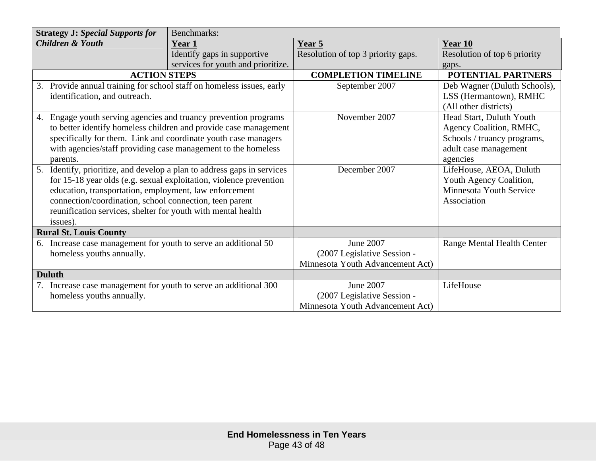| <b>Strategy J: Special Supports for</b>                            | Benchmarks:                                                           |                                    |                              |
|--------------------------------------------------------------------|-----------------------------------------------------------------------|------------------------------------|------------------------------|
| <b>Children &amp; Youth</b>                                        | Year 1                                                                | Year 5                             | Year 10                      |
|                                                                    | Identify gaps in supportive                                           | Resolution of top 3 priority gaps. | Resolution of top 6 priority |
|                                                                    | services for youth and prioritize.                                    |                                    | gaps.                        |
|                                                                    | <b>ACTION STEPS</b>                                                   | <b>COMPLETION TIMELINE</b>         | POTENTIAL PARTNERS           |
|                                                                    | 3. Provide annual training for school staff on homeless issues, early | September 2007                     | Deb Wagner (Duluth Schools), |
| identification, and outreach.                                      |                                                                       |                                    | LSS (Hermantown), RMHC       |
|                                                                    |                                                                       |                                    | (All other districts)        |
| 4.                                                                 | Engage youth serving agencies and truancy prevention programs         | November 2007                      | Head Start, Duluth Youth     |
|                                                                    | to better identify homeless children and provide case management      |                                    | Agency Coalition, RMHC,      |
|                                                                    | specifically for them. Link and coordinate youth case managers        |                                    | Schools / truancy programs,  |
|                                                                    | with agencies/staff providing case management to the homeless         |                                    | adult case management        |
| parents.                                                           |                                                                       |                                    | agencies                     |
| 5.                                                                 | Identify, prioritize, and develop a plan to address gaps in services  | December 2007                      | LifeHouse, AEOA, Duluth      |
| for 15-18 year olds (e.g. sexual exploitation, violence prevention |                                                                       |                                    | Youth Agency Coalition,      |
| education, transportation, employment, law enforcement             |                                                                       |                                    | Minnesota Youth Service      |
| connection/coordination, school connection, teen parent            |                                                                       |                                    | Association                  |
| reunification services, shelter for youth with mental health       |                                                                       |                                    |                              |
| issues).                                                           |                                                                       |                                    |                              |
| <b>Rural St. Louis County</b>                                      |                                                                       |                                    |                              |
| 6.                                                                 | Increase case management for youth to serve an additional 50          | June 2007                          | Range Mental Health Center   |
| homeless youths annually.                                          |                                                                       | (2007 Legislative Session -        |                              |
|                                                                    |                                                                       | Minnesota Youth Advancement Act)   |                              |
| <b>Duluth</b>                                                      |                                                                       |                                    |                              |
| 7.                                                                 | Increase case management for youth to serve an additional 300         | June 2007                          | LifeHouse                    |
| homeless youths annually.                                          |                                                                       | (2007 Legislative Session -        |                              |
|                                                                    |                                                                       | Minnesota Youth Advancement Act)   |                              |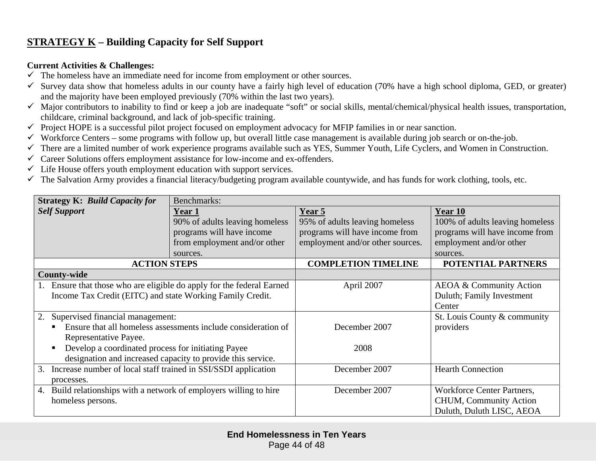## **STRATEGY K – Building Capacity for Self Support**

- $\checkmark$  The homeless have an immediate need for income from employment or other sources.
- $\checkmark$  Survey data show that homeless adults in our county have a fairly high level of education (70% have a high school diploma, GED, or greater) and the majority have been employed previously (70% within the last two years).
- $\checkmark$  Major contributors to inability to find or keep a job are inadequate "soft" or social skills, mental/chemical/physical health issues, transportation, childcare, criminal background, and lack of job-specific training.
- $\checkmark$  Project HOPE is a successful pilot project focused on employment advocacy for MFIP families in or near sanction.
- $\checkmark$  Workforce Centers some programs with follow up, but overall little case management is available during job search or on-the-job.
- $\checkmark$ There are a limited number of work experience programs available such as YES, Summer Youth, Life Cyclers, and Women in Construction.
- $\checkmark$ Career Solutions offers employment assistance for low-income and ex-offenders.
- $\checkmark$  Life House offers youth employment education with support services.
- $\checkmark$  The Salvation Army provides a financial literacy/budgeting program available countywide, and has funds for work clothing, tools, etc.

| <b>Strategy K: Build Capacity for</b>                                 | Benchmarks:                                                        |                                  |                                 |
|-----------------------------------------------------------------------|--------------------------------------------------------------------|----------------------------------|---------------------------------|
| <b>Self Support</b>                                                   | <b>Year 1</b>                                                      | Year 5                           | Year 10                         |
|                                                                       | 90% of adults leaving homeless                                     | 95% of adults leaving homeless   | 100% of adults leaving homeless |
|                                                                       | programs will have income                                          | programs will have income from   | programs will have income from  |
|                                                                       | from employment and/or other                                       | employment and/or other sources. | employment and/or other         |
|                                                                       | sources.                                                           |                                  | sources.                        |
| <b>ACTION STEPS</b>                                                   |                                                                    | <b>COMPLETION TIMELINE</b>       | <b>POTENTIAL PARTNERS</b>       |
| <b>County-wide</b>                                                    |                                                                    |                                  |                                 |
|                                                                       | Ensure that those who are eligible do apply for the federal Earned | April 2007                       | AEOA & Community Action         |
| Income Tax Credit (EITC) and state Working Family Credit.             |                                                                    |                                  | Duluth; Family Investment       |
|                                                                       |                                                                    |                                  | Center                          |
| Supervised financial management:<br>2.                                |                                                                    |                                  | St. Louis County & community    |
| Ensure that all homeless assessments include consideration of         |                                                                    | December 2007                    | providers                       |
| Representative Payee.                                                 |                                                                    |                                  |                                 |
| Develop a coordinated process for initiating Payee                    |                                                                    | 2008                             |                                 |
|                                                                       | designation and increased capacity to provide this service.        |                                  |                                 |
| Increase number of local staff trained in SSI/SSDI application<br>3.  |                                                                    | December 2007                    | <b>Hearth Connection</b>        |
| processes.                                                            |                                                                    |                                  |                                 |
| Build relationships with a network of employers willing to hire<br>4. |                                                                    | December 2007                    | Workforce Center Partners,      |
| homeless persons.                                                     |                                                                    |                                  | CHUM, Community Action          |
|                                                                       |                                                                    |                                  | Duluth, Duluth LISC, AEOA       |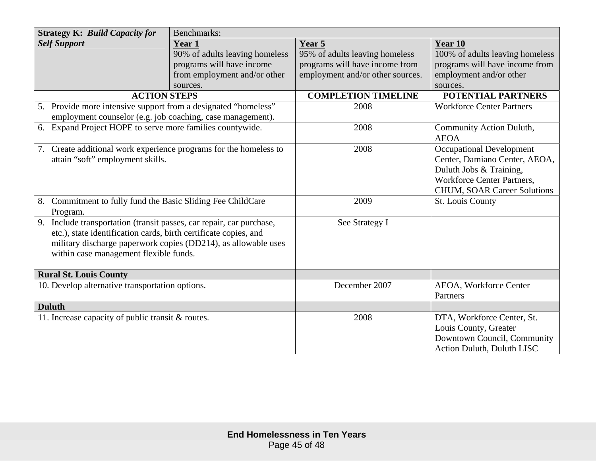| <b>Strategy K: Build Capacity for</b>                                | Benchmarks:                                                    |                                  |                                    |
|----------------------------------------------------------------------|----------------------------------------------------------------|----------------------------------|------------------------------------|
| <b>Self Support</b>                                                  | Year 1                                                         | Year 5                           | Year 10                            |
|                                                                      | 90% of adults leaving homeless                                 | 95% of adults leaving homeless   | 100% of adults leaving homeless    |
|                                                                      | programs will have income                                      | programs will have income from   | programs will have income from     |
|                                                                      | from employment and/or other                                   | employment and/or other sources. | employment and/or other            |
|                                                                      | sources.                                                       |                                  | sources.                           |
| <b>ACTION STEPS</b>                                                  |                                                                | <b>COMPLETION TIMELINE</b>       | <b>POTENTIAL PARTNERS</b>          |
| 5. Provide more intensive support from a designated "homeless"       |                                                                | 2008                             | <b>Workforce Center Partners</b>   |
| employment counselor (e.g. job coaching, case management).           |                                                                |                                  |                                    |
| Expand Project HOPE to serve more families countywide.<br>6.         |                                                                | 2008                             | Community Action Duluth,           |
|                                                                      |                                                                |                                  | <b>AEOA</b>                        |
| 7. Create additional work experience programs for the homeless to    |                                                                | 2008                             | <b>Occupational Development</b>    |
| attain "soft" employment skills.                                     |                                                                |                                  | Center, Damiano Center, AEOA,      |
|                                                                      |                                                                |                                  | Duluth Jobs & Training,            |
|                                                                      |                                                                |                                  | <b>Workforce Center Partners,</b>  |
|                                                                      |                                                                |                                  | <b>CHUM, SOAR Career Solutions</b> |
| 8. Commitment to fully fund the Basic Sliding Fee ChildCare          |                                                                | 2009                             | St. Louis County                   |
| Program.                                                             |                                                                |                                  |                                    |
| 9. Include transportation (transit passes, car repair, car purchase, |                                                                | See Strategy I                   |                                    |
| etc.), state identification cards, birth certificate copies, and     |                                                                |                                  |                                    |
|                                                                      | military discharge paperwork copies (DD214), as allowable uses |                                  |                                    |
| within case management flexible funds.                               |                                                                |                                  |                                    |
|                                                                      |                                                                |                                  |                                    |
| <b>Rural St. Louis County</b>                                        |                                                                |                                  |                                    |
| 10. Develop alternative transportation options.                      |                                                                | December 2007                    | AEOA, Workforce Center             |
|                                                                      |                                                                |                                  | Partners                           |
| <b>Duluth</b>                                                        |                                                                |                                  |                                    |
| 11. Increase capacity of public transit & routes.                    |                                                                | 2008                             | DTA, Workforce Center, St.         |
|                                                                      |                                                                |                                  | Louis County, Greater              |
|                                                                      |                                                                |                                  | Downtown Council, Community        |
|                                                                      |                                                                |                                  | Action Duluth, Duluth LISC         |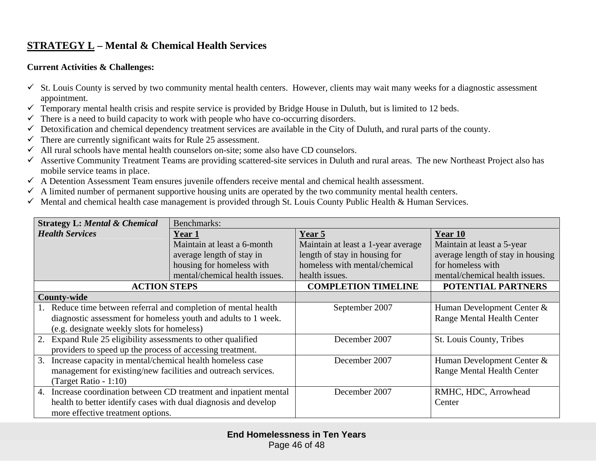## **STRATEGY L – Mental & Chemical Health Services**

- $\checkmark$  St. Louis County is served by two community mental health centers. However, clients may wait many weeks for a diagnostic assessment appointment.
- $\checkmark$  Temporary mental health crisis and respite service is provided by Bridge House in Duluth, but is limited to 12 beds.
- $\checkmark$  There is a need to build capacity to work with people who have co-occurring disorders.
- $\checkmark$  Detoxification and chemical dependency treatment services are available in the City of Duluth, and rural parts of the county.
- $\checkmark$ There are currently significant waits for Rule 25 assessment.
- $\checkmark$  All rural schools have mental health counselors on-site; some also have CD counselors.
- $\checkmark$  Assertive Community Treatment Teams are providing scattered-site services in Duluth and rural areas. The new Northeast Project also has mobile service teams in place.
- $\checkmark$  A Detention Assessment Team ensures juvenile offenders receive mental and chemical health assessment.
- $\checkmark$  A limited number of permanent supportive housing units are operated by the two community mental health centers.
- $\checkmark$ Mental and chemical health case management is provided through St. Louis County Public Health & Human Services.

| <b>Strategy L: Mental &amp; Chemical</b>                              | Benchmarks:                    |                                    |                                   |  |
|-----------------------------------------------------------------------|--------------------------------|------------------------------------|-----------------------------------|--|
| <b>Health Services</b>                                                | <b>Year 1</b>                  | Year 5                             | Year 10                           |  |
|                                                                       | Maintain at least a 6-month    | Maintain at least a 1-year average | Maintain at least a 5-year        |  |
|                                                                       | average length of stay in      | length of stay in housing for      | average length of stay in housing |  |
|                                                                       | housing for homeless with      | homeless with mental/chemical      | for homeless with                 |  |
|                                                                       | mental/chemical health issues. | health issues.                     | mental/chemical health issues.    |  |
| <b>ACTION STEPS</b>                                                   |                                | <b>COMPLETION TIMELINE</b>         | <b>POTENTIAL PARTNERS</b>         |  |
| <b>County-wide</b>                                                    |                                |                                    |                                   |  |
| Reduce time between referral and completion of mental health          |                                | September 2007                     | Human Development Center &        |  |
| diagnostic assessment for homeless youth and adults to 1 week.        |                                |                                    | <b>Range Mental Health Center</b> |  |
| (e.g. designate weekly slots for homeless)                            |                                |                                    |                                   |  |
| Expand Rule 25 eligibility assessments to other qualified<br>2.       |                                | December 2007                      | St. Louis County, Tribes          |  |
| providers to speed up the process of accessing treatment.             |                                |                                    |                                   |  |
| Increase capacity in mental/chemical health homeless case<br>3.       |                                | December 2007                      | Human Development Center &        |  |
| management for existing/new facilities and outreach services.         |                                |                                    | <b>Range Mental Health Center</b> |  |
| (Target Ratio - 1:10)                                                 |                                |                                    |                                   |  |
| Increase coordination between CD treatment and inpatient mental<br>4. |                                | December 2007                      | RMHC, HDC, Arrowhead              |  |
| health to better identify cases with dual diagnosis and develop       |                                |                                    | Center                            |  |
| more effective treatment options.                                     |                                |                                    |                                   |  |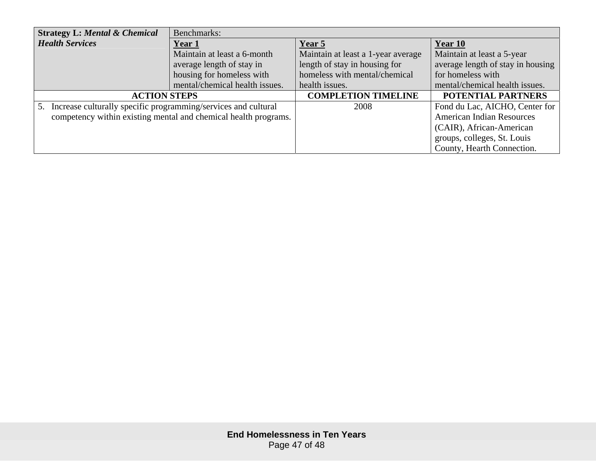| <b>Strategy L: Mental &amp; Chemical</b>                          | Benchmarks:                                                     |                                    |                                   |
|-------------------------------------------------------------------|-----------------------------------------------------------------|------------------------------------|-----------------------------------|
| <b>Health Services</b>                                            | Year 1                                                          | Year 5                             | Year 10                           |
|                                                                   | Maintain at least a 6-month                                     | Maintain at least a 1-year average | Maintain at least a 5-year        |
|                                                                   | average length of stay in                                       | length of stay in housing for      | average length of stay in housing |
|                                                                   | housing for homeless with                                       | homeless with mental/chemical      | for homeless with                 |
|                                                                   | mental/chemical health issues.                                  | health issues.                     | mental/chemical health issues.    |
| <b>ACTION STEPS</b>                                               |                                                                 | <b>COMPLETION TIMELINE</b>         | <b>POTENTIAL PARTNERS</b>         |
| 5. Increase culturally specific programming/services and cultural |                                                                 | 2008                               | Fond du Lac, AICHO, Center for    |
|                                                                   | competency within existing mental and chemical health programs. |                                    | <b>American Indian Resources</b>  |
|                                                                   |                                                                 |                                    | (CAIR), African-American          |
|                                                                   |                                                                 |                                    | groups, colleges, St. Louis       |
|                                                                   |                                                                 |                                    | County, Hearth Connection.        |